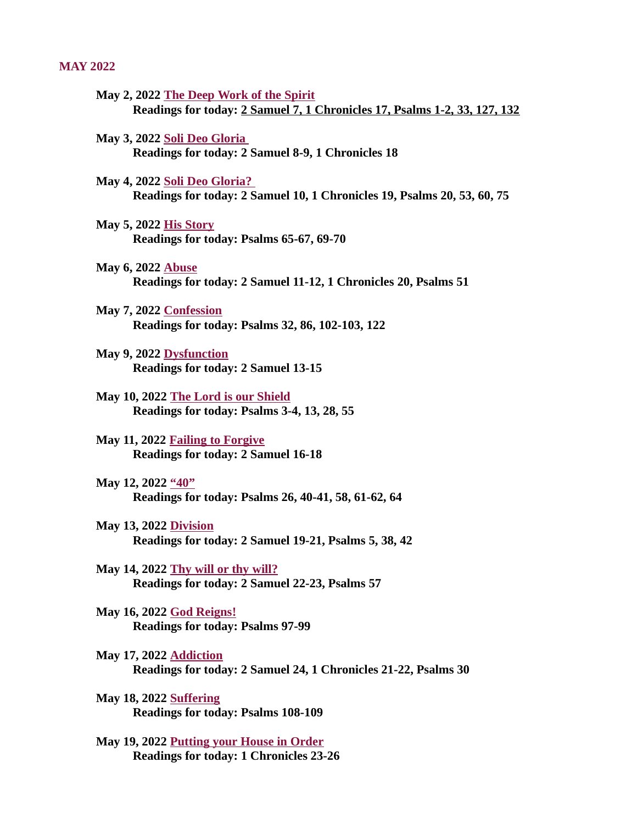#### <span id="page-0-0"></span>MAY 2022

- May 2, 2022 The Deep Work of the Spirit [Readings for today: 2 Samuel 7, 1 Chronicles 17, Psalms 1-2, 33, 127, 132](#page-2-0)
- May 3, 2022 Soli Deo Gloria [Readings for today: 2 Samuel 8-9, 1 Chronicles 18](#page-4-0)
- May 4, 2022 Soli Deo Gloria? [Readings for today: 2 Samuel 10, 1 Chronicles 19, Psalms 20, 53, 60, 75](#page-5-0)
- May 5, 2022 His Story [Readings for today: Psalms 65-67, 69-70](#page-6-0)
- May 6, 2022 Abuse [Readings for today: 2 Samuel 11-12, 1 Chronicles 20, Psalms 51](#page-7-0)
- May 7, 2022 Confession [Readings for today: Psalms 32, 86, 102-103, 122](#page-8-0)
- May 9, 2022 Dysfunction [Readings for today: 2 Samuel 13-15](#page-10-0)
- May 10, 2022 The Lord is our Shield [Readings for today: Psalms 3-4, 13, 28, 55](#page-11-0)
- May 11, 2022 Failing to Forgive [Readings for today: 2 Samuel 16-18](#page-13-0)
- May 12, 2022 "40" [Readings for today: Psalms 26, 40-41, 58, 61-62, 64](#page-15-0)
- May 13, 2022 Division [Readings for today: 2 Samuel 19-21, Psalms 5, 38, 42](#page-16-0)
- May 14, 2022 Thy will or thy will? [Readings for today: 2 Samuel 22-23, Psalms 57](#page-17-0)
- May 16, 2022 God Reigns! [Readings for today: Psalms 97-99](#page-19-0)
- May 17, 2022 Addiction [Readings for today: 2 Samuel 24, 1 Chronicles 21-22, Psalms 30](#page-21-0)
- May 18, 2022 Suffering [Readings for today: Psalms 108-109](#page-23-0)
- [May 19, 2022 Putting your House in Order](#page-24-0) Readings for today: 1 Chronicles 23-26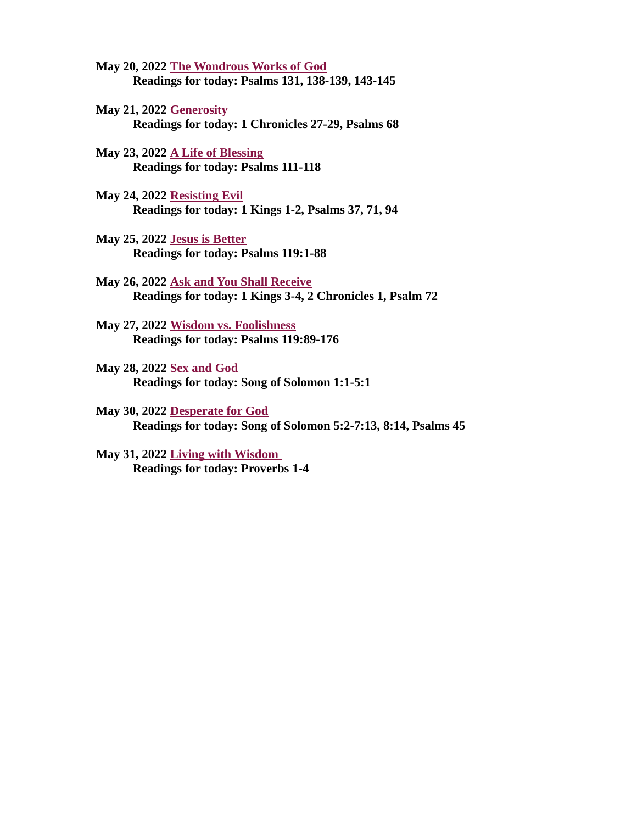- May 20, 2022 The Wondrous Works of God [Readings for today: Psalms 131, 138-139, 143-145](#page-25-0)
- May 21, 2022 Generosity [Readings for today: 1 Chronicles 27-29, Psalms 68](#page-26-0)
- May 23, 2022 A Life of Blessing [Readings for today: Psalms 111-118](#page-28-0)
- May 24, 2022 Resisting Evil [Readings for today: 1 Kings 1-2, Psalms 37, 71, 94](#page-29-0)
- May 25, 2022 Jesus is Better [Readings for today: Psalms 119:1-88](#page-30-0)
- May 26, 2022 Ask and You Shall Receive [Readings for today: 1 Kings 3-4, 2 Chronicles 1, Psalm 72](#page-31-0)
- May 27, 2022 Wisdom vs. Foolishness [Readings for today: Psalms 119:89-176](#page-33-0)
- May 28, 2022 Sex and God [Readings for today: Song of Solomon 1:1-5:1](#page-35-0)
- May 30, 2022 Desperate for God [Readings for today: Song of Solomon 5:2-7:13, 8:14, Psalms 45](#page-36-0)
- [May 31, 2022 Living with Wisdom](#page-37-0)  Readings for today: Proverbs 1-4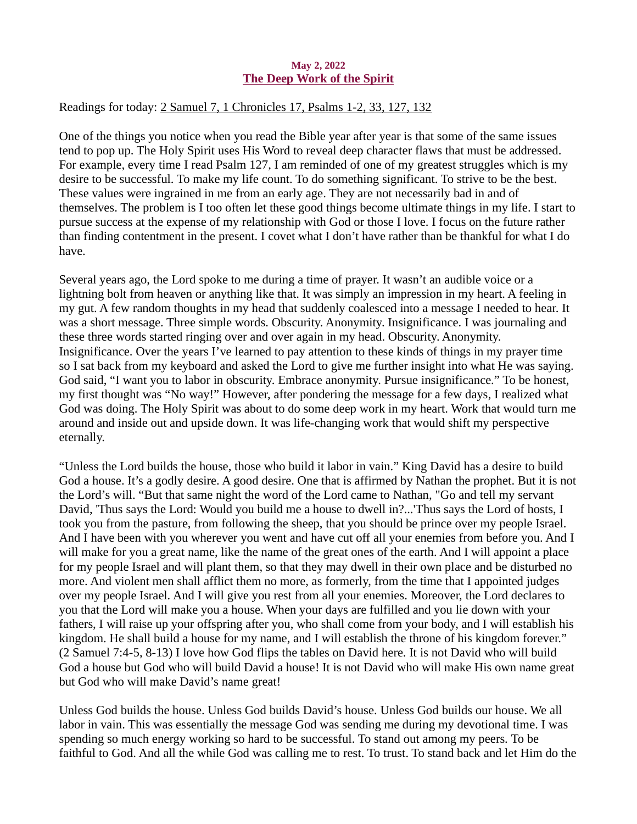## May 2, 2022 The Deep Work of the Spirit

# <span id="page-2-0"></span>Readings for toda[y: 2 Samuel 7, 1 Chronicles 17, Psalms 1-2, 33, 127, 132](https://www.biblegateway.com/passage/?search=2+Samuel+7%2C+1+Chronicles+17%2C+Psalms+1-2%2C+33%2C+127%2C+132&version=ESV)

One of the things you notice when you read the Bible year after year is that some of the same issues tend to pop up. The Holy Spirit uses His Word to reveal deep character flaws that must be addressed. For example, every time I read Psalm 127, I am reminded of one of my greatest struggles which is my desire to be successful. To make my life count. To do something significant. To strive to be the best. These values were ingrained in me from an early age. They are not necessarily bad in and of themselves. The problem is I too often let these good things become ultimate things in my life. I start to pursue success at the expense of my relationship with God or those I love. I focus on the future rather than finding contentment in the present. I covet what I don't have rather than be thankful for what I do have.

Several years ago, the Lord spoke to me during a time of prayer. It wasn't an audible voice or a lightning bolt from heaven or anything like that. It was simply an impression in my heart. A feeling in my gut. A few random thoughts in my head that suddenly coalesced into a message I needed to hear. It was a short message. Three simple words. Obscurity. Anonymity. Insignificance. I was journaling and these three words started ringing over and over again in my head. Obscurity. Anonymity. Insignificance. Over the years I've learned to pay attention to these kinds of things in my prayer time so I sat back from my keyboard and asked the Lord to give me further insight into what He was saying. God said, "I want you to labor in obscurity. Embrace anonymity. Pursue insignificance." To be honest, my first thought was "No way!" However, after pondering the message for a few days, I realized what God was doing. The Holy Spirit was about to do some deep work in my heart. Work that would turn me around and inside out and upside down. It was life-changing work that would shift my perspective eternally.

"Unless the Lord builds the house, those who build it labor in vain." King David has a desire to build God a house. It's a godly desire. A good desire. One that is affirmed by Nathan the prophet. But it is not the Lord's will. "But that same night the word of the Lord came to Nathan, "Go and tell my servant David, 'Thus says the Lord: Would you build me a house to dwell in?...'Thus says the Lord of hosts, I took you from the pasture, from following the sheep, that you should be prince over my people Israel. And I have been with you wherever you went and have cut off all your enemies from before you. And I will make for you a great name, like the name of the great ones of the earth. And I will appoint a place for my people Israel and will plant them, so that they may dwell in their own place and be disturbed no more. And violent men shall afflict them no more, as formerly, from the time that I appointed judges over my people Israel. And I will give you rest from all your enemies. Moreover, the Lord declares to you that the Lord will make you a house. When your days are fulfilled and you lie down with your fathers, I will raise up your offspring after you, who shall come from your body, and I will establish his kingdom. He shall build a house for my name, and I will establish the throne of his kingdom forever." (2 Samuel 7:4-5, 8-13) I love how God flips the tables on David here. It is not David who will build God a house but God who will build David a house! It is not David who will make His own name great but God who will make David's name great!

Unless God builds the house. Unless God builds David's house. Unless God builds our house. We all labor in vain. This was essentially the message God was sending me during my devotional time. I was spending so much energy working so hard to be successful. To stand out among my peers. To be faithful to God. And all the while God was calling me to rest. To trust. To stand back and let Him do the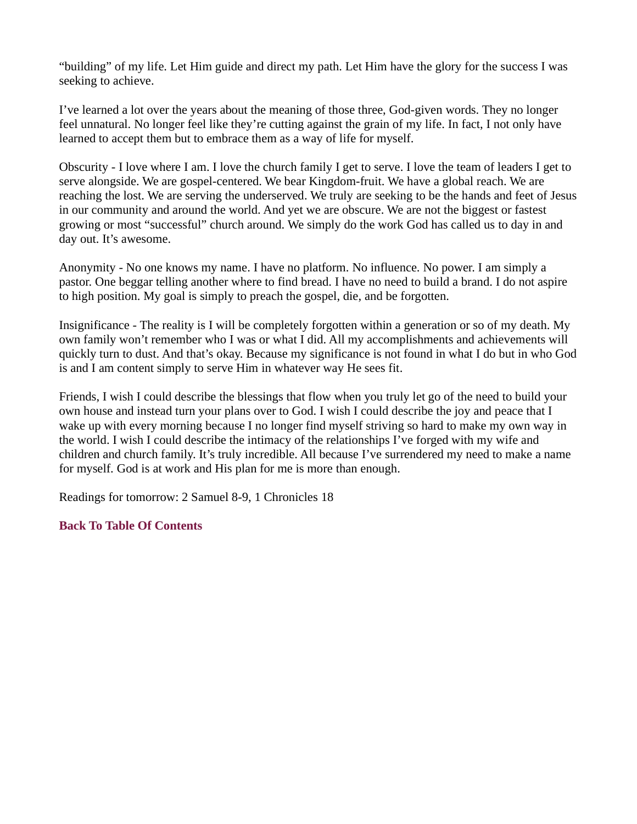"building" of my life. Let Him guide and direct my path. Let Him have the glory for the success I was seeking to achieve.

I've learned a lot over the years about the meaning of those three, God-given words. They no longer feel unnatural. No longer feel like they're cutting against the grain of my life. In fact, I not only have learned to accept them but to embrace them as a way of life for myself.

Obscurity - I love where I am. I love the church family I get to serve. I love the team of leaders I get to serve alongside. We are gospel-centered. We bear Kingdom-fruit. We have a global reach. We are reaching the lost. We are serving the underserved. We truly are seeking to be the hands and feet of Jesus in our community and around the world. And yet we are obscure. We are not the biggest or fastest growing or most "successful" church around. We simply do the work God has called us to day in and day out. It's awesome.

Anonymity - No one knows my name. I have no platform. No influence. No power. I am simply a pastor. One beggar telling another where to find bread. I have no need to build a brand. I do not aspire to high position. My goal is simply to preach the gospel, die, and be forgotten.

Insignificance - The reality is I will be completely forgotten within a generation or so of my death. My own family won't remember who I was or what I did. All my accomplishments and achievements will quickly turn to dust. And that's okay. Because my significance is not found in what I do but in who God is and I am content simply to serve Him in whatever way He sees fit.

Friends, I wish I could describe the blessings that flow when you truly let go of the need to build your own house and instead turn your plans over to God. I wish I could describe the joy and peace that I wake up with every morning because I no longer find myself striving so hard to make my own way in the world. I wish I could describe the intimacy of the relationships I've forged with my wife and children and church family. It's truly incredible. All because I've surrendered my need to make a name for myself. God is at work and His plan for me is more than enough.

Readings for tomorrow: 2 Samuel 8-9, 1 Chronicles 18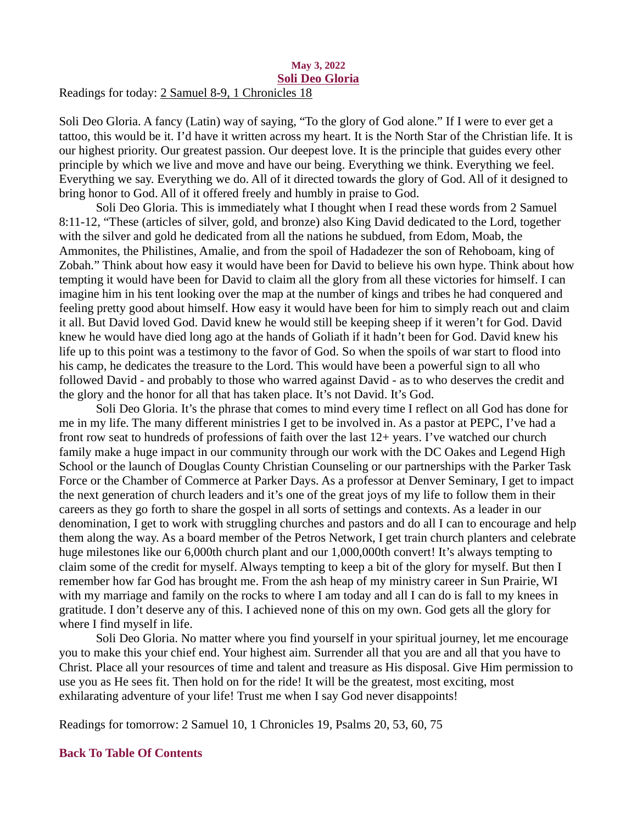#### <span id="page-4-0"></span>May 3, 2022 Soli Deo Gloria Readings for today: [2 Samuel 8-9, 1 Chronicles 18](https://www.biblegateway.com/passage/?search=2+Samuel+8-9%2C+1+Chronicles+18&version=ESV)

Soli Deo Gloria. A fancy (Latin) way of saying, "To the glory of God alone." If I were to ever get a tattoo, this would be it. I'd have it written across my heart. It is the North Star of the Christian life. It is our highest priority. Our greatest passion. Our deepest love. It is the principle that guides every other principle by which we live and move and have our being. Everything we think. Everything we feel. Everything we say. Everything we do. All of it directed towards the glory of God. All of it designed to bring honor to God. All of it offered freely and humbly in praise to God.

Soli Deo Gloria. This is immediately what I thought when I read these words from 2 Samuel 8:11-12, "These (articles of silver, gold, and bronze) also King David dedicated to the Lord, together with the silver and gold he dedicated from all the nations he subdued, from Edom, Moab, the Ammonites, the Philistines, Amalie, and from the spoil of Hadadezer the son of Rehoboam, king of Zobah." Think about how easy it would have been for David to believe his own hype. Think about how tempting it would have been for David to claim all the glory from all these victories for himself. I can imagine him in his tent looking over the map at the number of kings and tribes he had conquered and feeling pretty good about himself. How easy it would have been for him to simply reach out and claim it all. But David loved God. David knew he would still be keeping sheep if it weren't for God. David knew he would have died long ago at the hands of Goliath if it hadn't been for God. David knew his life up to this point was a testimony to the favor of God. So when the spoils of war start to flood into his camp, he dedicates the treasure to the Lord. This would have been a powerful sign to all who followed David - and probably to those who warred against David - as to who deserves the credit and the glory and the honor for all that has taken place. It's not David. It's God.

Soli Deo Gloria. It's the phrase that comes to mind every time I reflect on all God has done for me in my life. The many different ministries I get to be involved in. As a pastor at PEPC, I've had a front row seat to hundreds of professions of faith over the last 12+ years. I've watched our church family make a huge impact in our community through our work with the DC Oakes and Legend High School or the launch of Douglas County Christian Counseling or our partnerships with the Parker Task Force or the Chamber of Commerce at Parker Days. As a professor at Denver Seminary, I get to impact the next generation of church leaders and it's one of the great joys of my life to follow them in their careers as they go forth to share the gospel in all sorts of settings and contexts. As a leader in our denomination, I get to work with struggling churches and pastors and do all I can to encourage and help them along the way. As a board member of the Petros Network, I get train church planters and celebrate huge milestones like our 6,000th church plant and our 1,000,000th convert! It's always tempting to claim some of the credit for myself. Always tempting to keep a bit of the glory for myself. But then I remember how far God has brought me. From the ash heap of my ministry career in Sun Prairie, WI with my marriage and family on the rocks to where I am today and all I can do is fall to my knees in gratitude. I don't deserve any of this. I achieved none of this on my own. God gets all the glory for where I find myself in life.

Soli Deo Gloria. No matter where you find yourself in your spiritual journey, let me encourage you to make this your chief end. Your highest aim. Surrender all that you are and all that you have to Christ. Place all your resources of time and talent and treasure as His disposal. Give Him permission to use you as He sees fit. Then hold on for the ride! It will be the greatest, most exciting, most exhilarating adventure of your life! Trust me when I say God never disappoints!

Readings for tomorrow: 2 Samuel 10, 1 Chronicles 19, Psalms 20, 53, 60, 75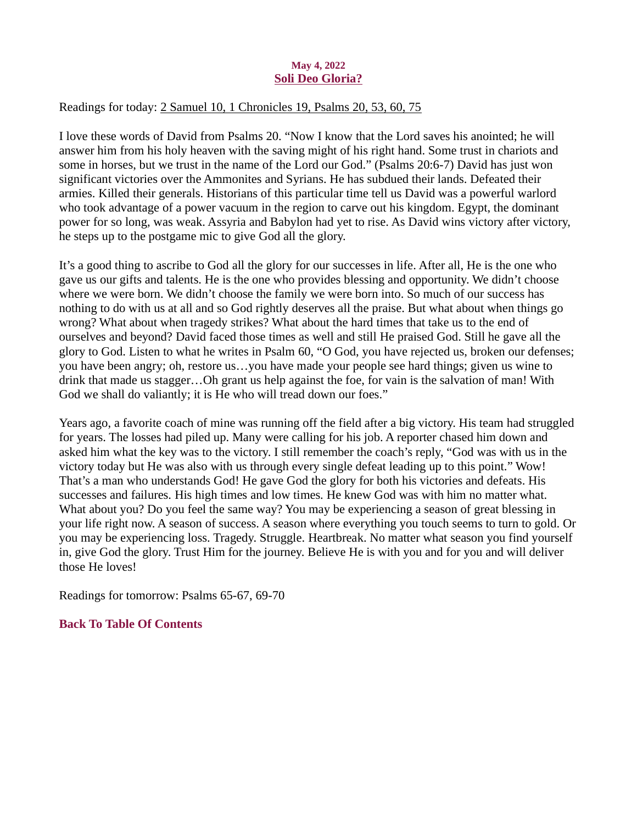## May 4, 2022 Soli Deo Gloria?

## <span id="page-5-0"></span>Readings for today: [2 Samuel 10, 1 Chronicles 19, Psalms 20, 53, 60, 75](https://www.biblegateway.com/passage/?search=2+Samuel+10%2C+1+Chronicles+19%2C+Psalms+20%2C+53%2C+60%2C+75&version=ESV)

I love these words of David from Psalms 20. "Now I know that the Lord saves his anointed; he will answer him from his holy heaven with the saving might of his right hand. Some trust in chariots and some in horses, but we trust in the name of the Lord our God." (Psalms 20:6-7) David has just won significant victories over the Ammonites and Syrians. He has subdued their lands. Defeated their armies. Killed their generals. Historians of this particular time tell us David was a powerful warlord who took advantage of a power vacuum in the region to carve out his kingdom. Egypt, the dominant power for so long, was weak. Assyria and Babylon had yet to rise. As David wins victory after victory, he steps up to the postgame mic to give God all the glory.

It's a good thing to ascribe to God all the glory for our successes in life. After all, He is the one who gave us our gifts and talents. He is the one who provides blessing and opportunity. We didn't choose where we were born. We didn't choose the family we were born into. So much of our success has nothing to do with us at all and so God rightly deserves all the praise. But what about when things go wrong? What about when tragedy strikes? What about the hard times that take us to the end of ourselves and beyond? David faced those times as well and still He praised God. Still he gave all the glory to God. Listen to what he writes in Psalm 60, "O God, you have rejected us, broken our defenses; you have been angry; oh, restore us…you have made your people see hard things; given us wine to drink that made us stagger…Oh grant us help against the foe, for vain is the salvation of man! With God we shall do valiantly; it is He who will tread down our foes."

Years ago, a favorite coach of mine was running off the field after a big victory. His team had struggled for years. The losses had piled up. Many were calling for his job. A reporter chased him down and asked him what the key was to the victory. I still remember the coach's reply, "God was with us in the victory today but He was also with us through every single defeat leading up to this point." Wow! That's a man who understands God! He gave God the glory for both his victories and defeats. His successes and failures. His high times and low times. He knew God was with him no matter what. What about you? Do you feel the same way? You may be experiencing a season of great blessing in your life right now. A season of success. A season where everything you touch seems to turn to gold. Or you may be experiencing loss. Tragedy. Struggle. Heartbreak. No matter what season you find yourself in, give God the glory. Trust Him for the journey. Believe He is with you and for you and will deliver those He loves!

Readings for tomorrow: Psalms 65-67, 69-70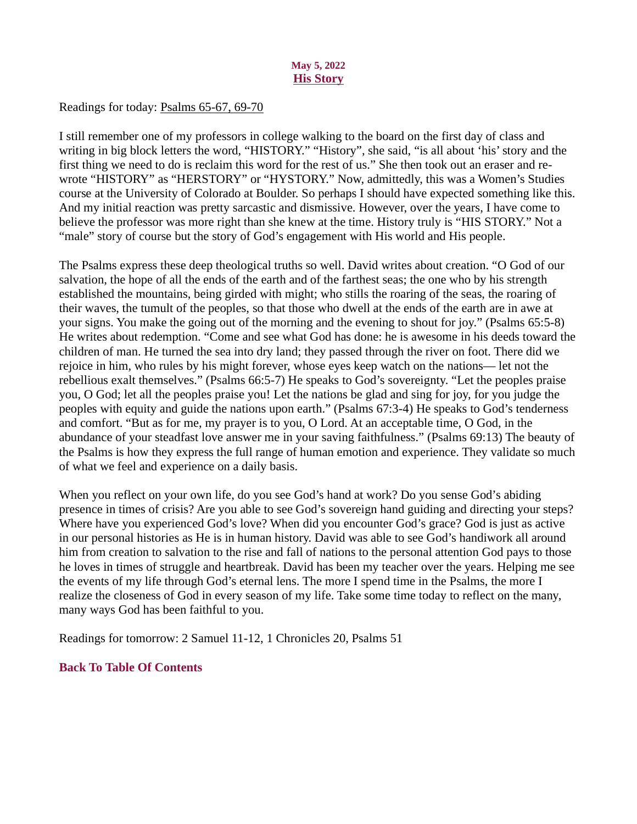## May 5, 2022 **His Story**

## <span id="page-6-0"></span>Readings for today[: Psalms 65-67, 69-70](https://www.biblegateway.com/passage/?search=Psalms+65-67%2C+69-70&version=ESV)

I still remember one of my professors in college walking to the board on the first day of class and writing in big block letters the word, "HISTORY." "History", she said, "is all about 'his' story and the first thing we need to do is reclaim this word for the rest of us." She then took out an eraser and rewrote "HISTORY" as "HERSTORY" or "HYSTORY." Now, admittedly, this was a Women's Studies course at the University of Colorado at Boulder. So perhaps I should have expected something like this. And my initial reaction was pretty sarcastic and dismissive. However, over the years, I have come to believe the professor was more right than she knew at the time. History truly is "HIS STORY." Not a "male" story of course but the story of God's engagement with His world and His people.

The Psalms express these deep theological truths so well. David writes about creation. "O God of our salvation, the hope of all the ends of the earth and of the farthest seas; the one who by his strength established the mountains, being girded with might; who stills the roaring of the seas, the roaring of their waves, the tumult of the peoples, so that those who dwell at the ends of the earth are in awe at your signs. You make the going out of the morning and the evening to shout for joy." (Psalms 65:5-8) He writes about redemption. "Come and see what God has done: he is awesome in his deeds toward the children of man. He turned the sea into dry land; they passed through the river on foot. There did we rejoice in him, who rules by his might forever, whose eyes keep watch on the nations— let not the rebellious exalt themselves." (Psalms 66:5-7) He speaks to God's sovereignty. "Let the peoples praise you, O God; let all the peoples praise you! Let the nations be glad and sing for joy, for you judge the peoples with equity and guide the nations upon earth." (Psalms 67:3-4) He speaks to God's tenderness and comfort. "But as for me, my prayer is to you, O Lord. At an acceptable time, O God, in the abundance of your steadfast love answer me in your saving faithfulness." (Psalms 69:13) The beauty of the Psalms is how they express the full range of human emotion and experience. They validate so much of what we feel and experience on a daily basis.

When you reflect on your own life, do you see God's hand at work? Do you sense God's abiding presence in times of crisis? Are you able to see God's sovereign hand guiding and directing your steps? Where have you experienced God's love? When did you encounter God's grace? God is just as active in our personal histories as He is in human history. David was able to see God's handiwork all around him from creation to salvation to the rise and fall of nations to the personal attention God pays to those he loves in times of struggle and heartbreak. David has been my teacher over the years. Helping me see the events of my life through God's eternal lens. The more I spend time in the Psalms, the more I realize the closeness of God in every season of my life. Take some time today to reflect on the many, many ways God has been faithful to you.

Readings for tomorrow: 2 Samuel 11-12, 1 Chronicles 20, Psalms 51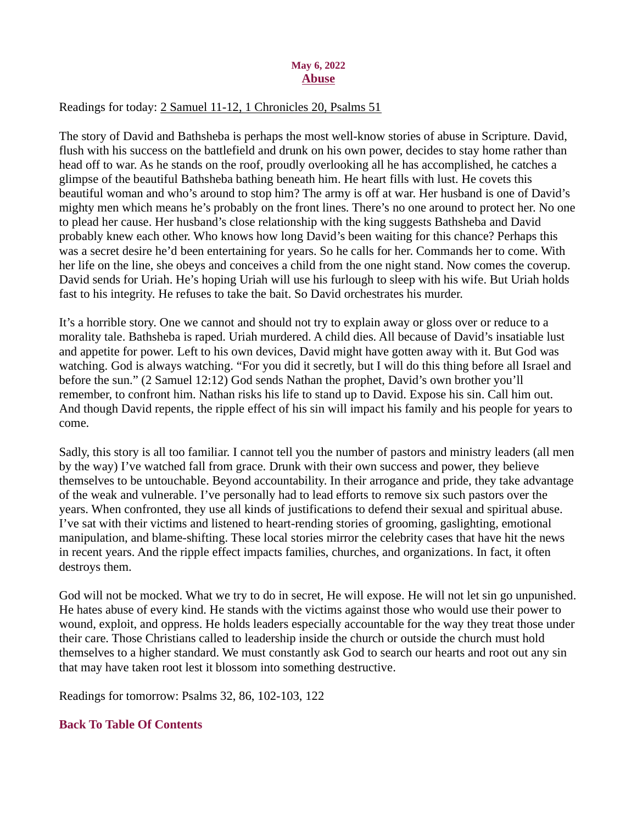#### May 6, 2022 Abuse

## <span id="page-7-0"></span>Readings for today[: 2 Samuel 11-12, 1 Chronicles 20, Psalms 51](https://www.biblegateway.com/passage/?search=2+Samuel+11-12%2C+1+Chronicles+20%2C+Psalms+51&version=ESV)

The story of David and Bathsheba is perhaps the most well-know stories of abuse in Scripture. David, flush with his success on the battlefield and drunk on his own power, decides to stay home rather than head off to war. As he stands on the roof, proudly overlooking all he has accomplished, he catches a glimpse of the beautiful Bathsheba bathing beneath him. He heart fills with lust. He covets this beautiful woman and who's around to stop him? The army is off at war. Her husband is one of David's mighty men which means he's probably on the front lines. There's no one around to protect her. No one to plead her cause. Her husband's close relationship with the king suggests Bathsheba and David probably knew each other. Who knows how long David's been waiting for this chance? Perhaps this was a secret desire he'd been entertaining for years. So he calls for her. Commands her to come. With her life on the line, she obeys and conceives a child from the one night stand. Now comes the coverup. David sends for Uriah. He's hoping Uriah will use his furlough to sleep with his wife. But Uriah holds fast to his integrity. He refuses to take the bait. So David orchestrates his murder.

It's a horrible story. One we cannot and should not try to explain away or gloss over or reduce to a morality tale. Bathsheba is raped. Uriah murdered. A child dies. All because of David's insatiable lust and appetite for power. Left to his own devices, David might have gotten away with it. But God was watching. God is always watching. "For you did it secretly, but I will do this thing before all Israel and before the sun." (2 Samuel 12:12) God sends Nathan the prophet, David's own brother you'll remember, to confront him. Nathan risks his life to stand up to David. Expose his sin. Call him out. And though David repents, the ripple effect of his sin will impact his family and his people for years to come.

Sadly, this story is all too familiar. I cannot tell you the number of pastors and ministry leaders (all men by the way) I've watched fall from grace. Drunk with their own success and power, they believe themselves to be untouchable. Beyond accountability. In their arrogance and pride, they take advantage of the weak and vulnerable. I've personally had to lead efforts to remove six such pastors over the years. When confronted, they use all kinds of justifications to defend their sexual and spiritual abuse. I've sat with their victims and listened to heart-rending stories of grooming, gaslighting, emotional manipulation, and blame-shifting. These local stories mirror the celebrity cases that have hit the news in recent years. And the ripple effect impacts families, churches, and organizations. In fact, it often destroys them.

God will not be mocked. What we try to do in secret, He will expose. He will not let sin go unpunished. He hates abuse of every kind. He stands with the victims against those who would use their power to wound, exploit, and oppress. He holds leaders especially accountable for the way they treat those under their care. Those Christians called to leadership inside the church or outside the church must hold themselves to a higher standard. We must constantly ask God to search our hearts and root out any sin that may have taken root lest it blossom into something destructive.

Readings for tomorrow: Psalms 32, 86, 102-103, 122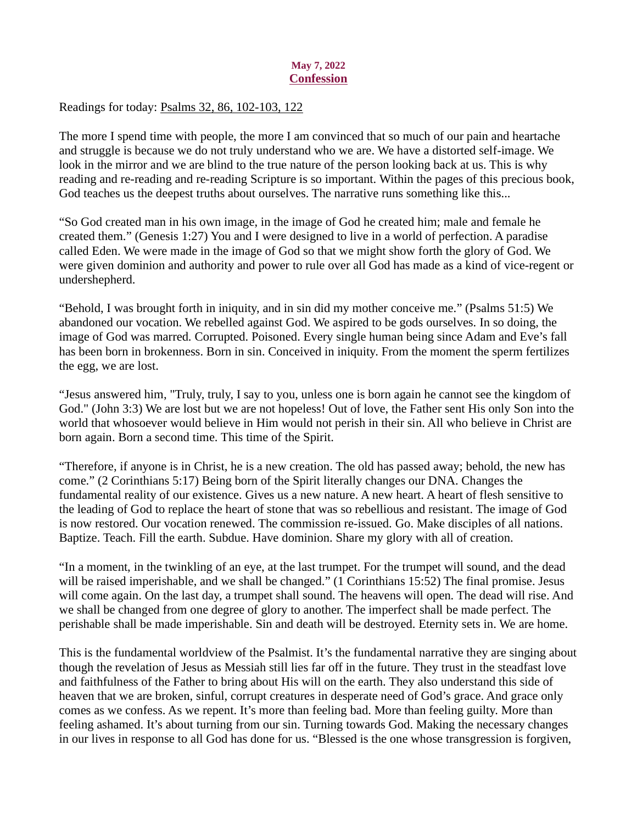#### May 7, 2022 **Confession**

### <span id="page-8-0"></span>Readings for today[: Psalms 32, 86, 102-103, 122](https://www.biblegateway.com/passage/?search=Psalms+32%2C+86%2C+102-103%2C+122&version=ESV)

The more I spend time with people, the more I am convinced that so much of our pain and heartache and struggle is because we do not truly understand who we are. We have a distorted self-image. We look in the mirror and we are blind to the true nature of the person looking back at us. This is why reading and re-reading and re-reading Scripture is so important. Within the pages of this precious book, God teaches us the deepest truths about ourselves. The narrative runs something like this...

"So God created man in his own image, in the image of God he created him; male and female he created them." (Genesis 1:27) You and I were designed to live in a world of perfection. A paradise called Eden. We were made in the image of God so that we might show forth the glory of God. We were given dominion and authority and power to rule over all God has made as a kind of vice-regent or undershepherd.

"Behold, I was brought forth in iniquity, and in sin did my mother conceive me." (Psalms 51:5) We abandoned our vocation. We rebelled against God. We aspired to be gods ourselves. In so doing, the image of God was marred. Corrupted. Poisoned. Every single human being since Adam and Eve's fall has been born in brokenness. Born in sin. Conceived in iniquity. From the moment the sperm fertilizes the egg, we are lost.

"Jesus answered him, "Truly, truly, I say to you, unless one is born again he cannot see the kingdom of God." (John 3:3) We are lost but we are not hopeless! Out of love, the Father sent His only Son into the world that whosoever would believe in Him would not perish in their sin. All who believe in Christ are born again. Born a second time. This time of the Spirit.

"Therefore, if anyone is in Christ, he is a new creation. The old has passed away; behold, the new has come." (2 Corinthians 5:17) Being born of the Spirit literally changes our DNA. Changes the fundamental reality of our existence. Gives us a new nature. A new heart. A heart of flesh sensitive to the leading of God to replace the heart of stone that was so rebellious and resistant. The image of God is now restored. Our vocation renewed. The commission re-issued. Go. Make disciples of all nations. Baptize. Teach. Fill the earth. Subdue. Have dominion. Share my glory with all of creation.

"In a moment, in the twinkling of an eye, at the last trumpet. For the trumpet will sound, and the dead will be raised imperishable, and we shall be changed." (1 Corinthians 15:52) The final promise. Jesus will come again. On the last day, a trumpet shall sound. The heavens will open. The dead will rise. And we shall be changed from one degree of glory to another. The imperfect shall be made perfect. The perishable shall be made imperishable. Sin and death will be destroyed. Eternity sets in. We are home.

This is the fundamental worldview of the Psalmist. It's the fundamental narrative they are singing about though the revelation of Jesus as Messiah still lies far off in the future. They trust in the steadfast love and faithfulness of the Father to bring about His will on the earth. They also understand this side of heaven that we are broken, sinful, corrupt creatures in desperate need of God's grace. And grace only comes as we confess. As we repent. It's more than feeling bad. More than feeling guilty. More than feeling ashamed. It's about turning from our sin. Turning towards God. Making the necessary changes in our lives in response to all God has done for us. "Blessed is the one whose transgression is forgiven,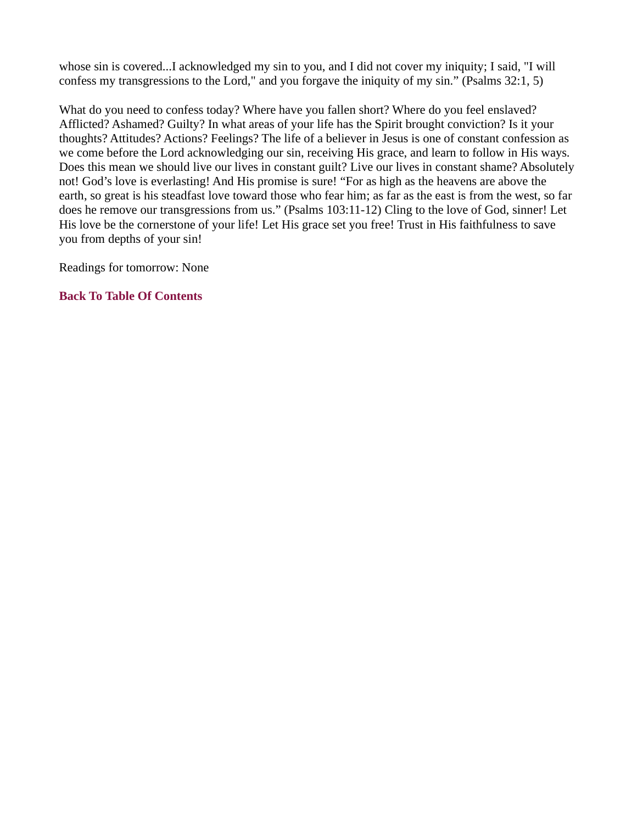whose sin is covered...I acknowledged my sin to you, and I did not cover my iniquity; I said, "I will confess my transgressions to the Lord," and you forgave the iniquity of my sin." (Psalms 32:1, 5)

What do you need to confess today? Where have you fallen short? Where do you feel enslaved? Afflicted? Ashamed? Guilty? In what areas of your life has the Spirit brought conviction? Is it your thoughts? Attitudes? Actions? Feelings? The life of a believer in Jesus is one of constant confession as we come before the Lord acknowledging our sin, receiving His grace, and learn to follow in His ways. Does this mean we should live our lives in constant guilt? Live our lives in constant shame? Absolutely not! God's love is everlasting! And His promise is sure! "For as high as the heavens are above the earth, so great is his steadfast love toward those who fear him; as far as the east is from the west, so far does he remove our transgressions from us." (Psalms 103:11-12) Cling to the love of God, sinner! Let His love be the cornerstone of your life! Let His grace set you free! Trust in His faithfulness to save you from depths of your sin!

Readings for tomorrow: None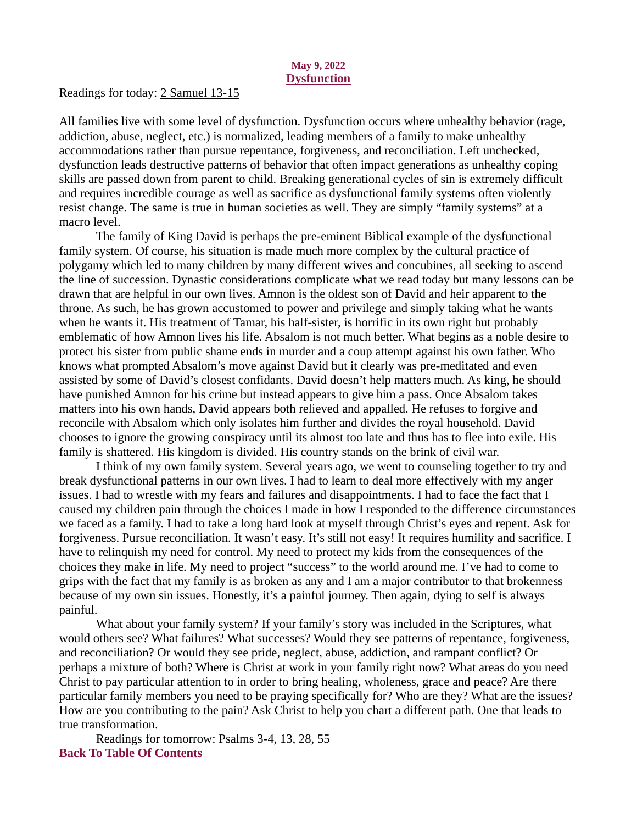#### May 9, 2022 **Dysfunction**

<span id="page-10-0"></span>Readings for today[: 2 Samuel 13-15](https://www.biblegateway.com/passage/?search=2+Samuel+13-15&version=ESV)

All families live with some level of dysfunction. Dysfunction occurs where unhealthy behavior (rage, addiction, abuse, neglect, etc.) is normalized, leading members of a family to make unhealthy accommodations rather than pursue repentance, forgiveness, and reconciliation. Left unchecked, dysfunction leads destructive patterns of behavior that often impact generations as unhealthy coping skills are passed down from parent to child. Breaking generational cycles of sin is extremely difficult and requires incredible courage as well as sacrifice as dysfunctional family systems often violently resist change. The same is true in human societies as well. They are simply "family systems" at a macro level.

The family of King David is perhaps the pre-eminent Biblical example of the dysfunctional family system. Of course, his situation is made much more complex by the cultural practice of polygamy which led to many children by many different wives and concubines, all seeking to ascend the line of succession. Dynastic considerations complicate what we read today but many lessons can be drawn that are helpful in our own lives. Amnon is the oldest son of David and heir apparent to the throne. As such, he has grown accustomed to power and privilege and simply taking what he wants when he wants it. His treatment of Tamar, his half-sister, is horrific in its own right but probably emblematic of how Amnon lives his life. Absalom is not much better. What begins as a noble desire to protect his sister from public shame ends in murder and a coup attempt against his own father. Who knows what prompted Absalom's move against David but it clearly was pre-meditated and even assisted by some of David's closest confidants. David doesn't help matters much. As king, he should have punished Amnon for his crime but instead appears to give him a pass. Once Absalom takes matters into his own hands, David appears both relieved and appalled. He refuses to forgive and reconcile with Absalom which only isolates him further and divides the royal household. David chooses to ignore the growing conspiracy until its almost too late and thus has to flee into exile. His family is shattered. His kingdom is divided. His country stands on the brink of civil war.

I think of my own family system. Several years ago, we went to counseling together to try and break dysfunctional patterns in our own lives. I had to learn to deal more effectively with my anger issues. I had to wrestle with my fears and failures and disappointments. I had to face the fact that I caused my children pain through the choices I made in how I responded to the difference circumstances we faced as a family. I had to take a long hard look at myself through Christ's eyes and repent. Ask for forgiveness. Pursue reconciliation. It wasn't easy. It's still not easy! It requires humility and sacrifice. I have to relinquish my need for control. My need to protect my kids from the consequences of the choices they make in life. My need to project "success" to the world around me. I've had to come to grips with the fact that my family is as broken as any and I am a major contributor to that brokenness because of my own sin issues. Honestly, it's a painful journey. Then again, dying to self is always painful.

What about your family system? If your family's story was included in the Scriptures, what would others see? What failures? What successes? Would they see patterns of repentance, forgiveness, and reconciliation? Or would they see pride, neglect, abuse, addiction, and rampant conflict? Or perhaps a mixture of both? Where is Christ at work in your family right now? What areas do you need Christ to pay particular attention to in order to bring healing, wholeness, grace and peace? Are there particular family members you need to be praying specifically for? Who are they? What are the issues? How are you contributing to the pain? Ask Christ to help you chart a different path. One that leads to true transformation.

Readings for tomorrow: Psalms 3-4, 13, 28, 55 [Back To Table Of Contents](#page-0-0)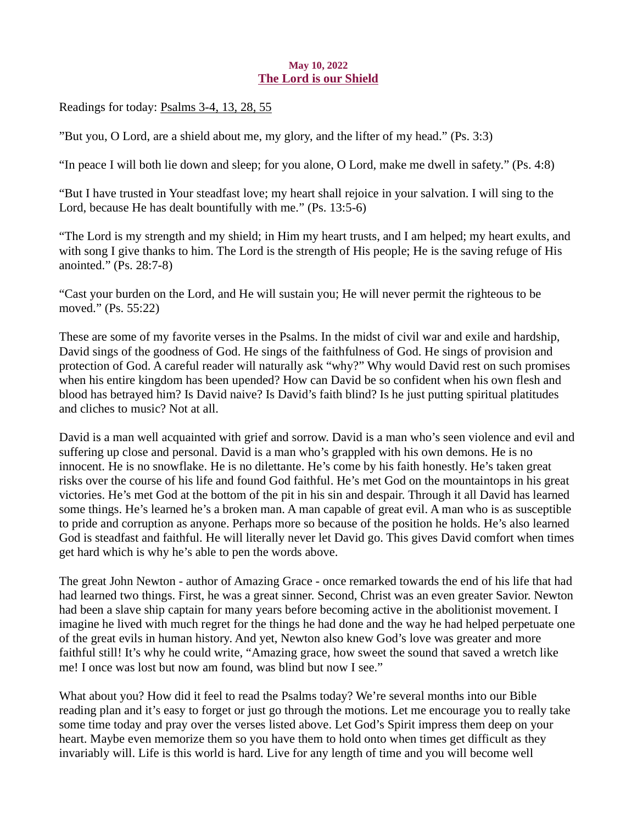#### May 10, 2022 The Lord is our Shield

<span id="page-11-0"></span>Readings for toda[y: Psalms 3-4, 13, 28, 55](https://www.biblegateway.com/passage/?search=Psalms+3-4%2C+13%2C+28%2C+55&version=ESV)

"But you, O Lord, are a shield about me, my glory, and the lifter of my head." (Ps. 3:3)

"In peace I will both lie down and sleep; for you alone, O Lord, make me dwell in safety." (Ps. 4:8)

"But I have trusted in Your steadfast love; my heart shall rejoice in your salvation. I will sing to the Lord, because He has dealt bountifully with me." (Ps. 13:5-6)

"The Lord is my strength and my shield; in Him my heart trusts, and I am helped; my heart exults, and with song I give thanks to him. The Lord is the strength of His people; He is the saving refuge of His anointed." (Ps. 28:7-8)

"Cast your burden on the Lord, and He will sustain you; He will never permit the righteous to be moved." (Ps. 55:22)

These are some of my favorite verses in the Psalms. In the midst of civil war and exile and hardship, David sings of the goodness of God. He sings of the faithfulness of God. He sings of provision and protection of God. A careful reader will naturally ask "why?" Why would David rest on such promises when his entire kingdom has been upended? How can David be so confident when his own flesh and blood has betrayed him? Is David naive? Is David's faith blind? Is he just putting spiritual platitudes and cliches to music? Not at all.

David is a man well acquainted with grief and sorrow. David is a man who's seen violence and evil and suffering up close and personal. David is a man who's grappled with his own demons. He is no innocent. He is no snowflake. He is no dilettante. He's come by his faith honestly. He's taken great risks over the course of his life and found God faithful. He's met God on the mountaintops in his great victories. He's met God at the bottom of the pit in his sin and despair. Through it all David has learned some things. He's learned he's a broken man. A man capable of great evil. A man who is as susceptible to pride and corruption as anyone. Perhaps more so because of the position he holds. He's also learned God is steadfast and faithful. He will literally never let David go. This gives David comfort when times get hard which is why he's able to pen the words above.

The great John Newton - author of Amazing Grace - once remarked towards the end of his life that had had learned two things. First, he was a great sinner. Second, Christ was an even greater Savior. Newton had been a slave ship captain for many years before becoming active in the abolitionist movement. I imagine he lived with much regret for the things he had done and the way he had helped perpetuate one of the great evils in human history. And yet, Newton also knew God's love was greater and more faithful still! It's why he could write, "Amazing grace, how sweet the sound that saved a wretch like me! I once was lost but now am found, was blind but now I see."

What about you? How did it feel to read the Psalms today? We're several months into our Bible reading plan and it's easy to forget or just go through the motions. Let me encourage you to really take some time today and pray over the verses listed above. Let God's Spirit impress them deep on your heart. Maybe even memorize them so you have them to hold onto when times get difficult as they invariably will. Life is this world is hard. Live for any length of time and you will become well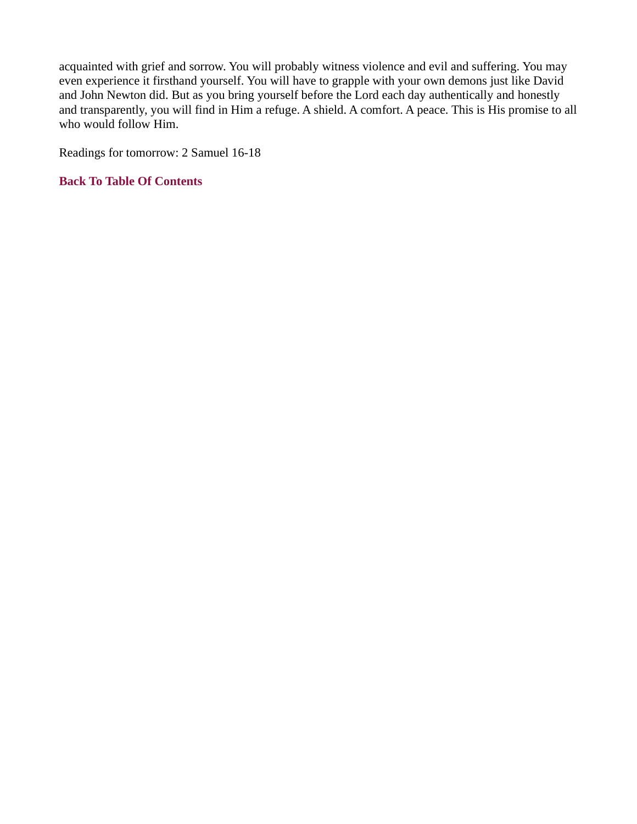acquainted with grief and sorrow. You will probably witness violence and evil and suffering. You may even experience it firsthand yourself. You will have to grapple with your own demons just like David and John Newton did. But as you bring yourself before the Lord each day authentically and honestly and transparently, you will find in Him a refuge. A shield. A comfort. A peace. This is His promise to all who would follow Him.

Readings for tomorrow: 2 Samuel 16-18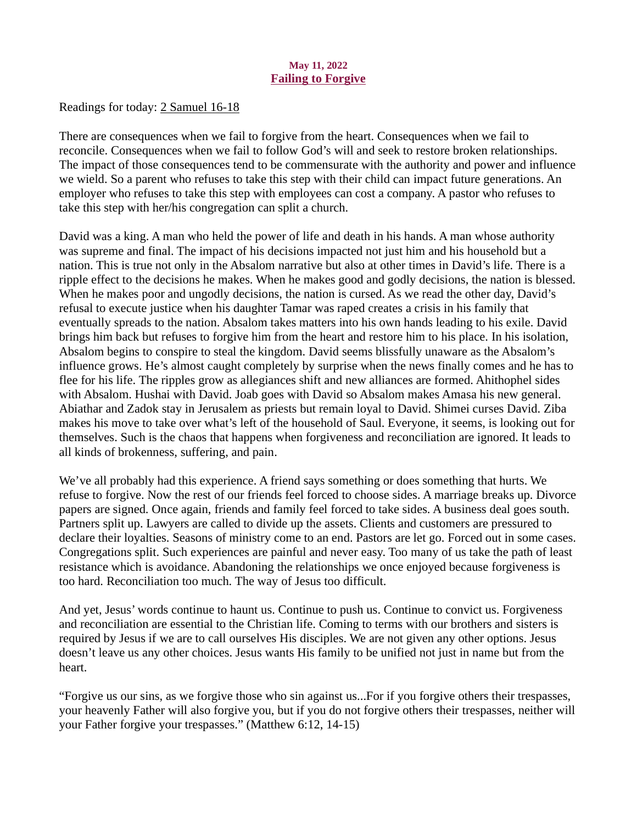### May 11, 2022 Failing to Forgive

<span id="page-13-0"></span>Readings for toda[y: 2 Samuel 16-18](https://www.biblegateway.com/passage/?search=2+Samuel+16-18&version=ESV)

There are consequences when we fail to forgive from the heart. Consequences when we fail to reconcile. Consequences when we fail to follow God's will and seek to restore broken relationships. The impact of those consequences tend to be commensurate with the authority and power and influence we wield. So a parent who refuses to take this step with their child can impact future generations. An employer who refuses to take this step with employees can cost a company. A pastor who refuses to take this step with her/his congregation can split a church.

David was a king. A man who held the power of life and death in his hands. A man whose authority was supreme and final. The impact of his decisions impacted not just him and his household but a nation. This is true not only in the Absalom narrative but also at other times in David's life. There is a ripple effect to the decisions he makes. When he makes good and godly decisions, the nation is blessed. When he makes poor and ungodly decisions, the nation is cursed. As we read the other day, David's refusal to execute justice when his daughter Tamar was raped creates a crisis in his family that eventually spreads to the nation. Absalom takes matters into his own hands leading to his exile. David brings him back but refuses to forgive him from the heart and restore him to his place. In his isolation, Absalom begins to conspire to steal the kingdom. David seems blissfully unaware as the Absalom's influence grows. He's almost caught completely by surprise when the news finally comes and he has to flee for his life. The ripples grow as allegiances shift and new alliances are formed. Ahithophel sides with Absalom. Hushai with David. Joab goes with David so Absalom makes Amasa his new general. Abiathar and Zadok stay in Jerusalem as priests but remain loyal to David. Shimei curses David. Ziba makes his move to take over what's left of the household of Saul. Everyone, it seems, is looking out for themselves. Such is the chaos that happens when forgiveness and reconciliation are ignored. It leads to all kinds of brokenness, suffering, and pain.

We've all probably had this experience. A friend says something or does something that hurts. We refuse to forgive. Now the rest of our friends feel forced to choose sides. A marriage breaks up. Divorce papers are signed. Once again, friends and family feel forced to take sides. A business deal goes south. Partners split up. Lawyers are called to divide up the assets. Clients and customers are pressured to declare their loyalties. Seasons of ministry come to an end. Pastors are let go. Forced out in some cases. Congregations split. Such experiences are painful and never easy. Too many of us take the path of least resistance which is avoidance. Abandoning the relationships we once enjoyed because forgiveness is too hard. Reconciliation too much. The way of Jesus too difficult.

And yet, Jesus' words continue to haunt us. Continue to push us. Continue to convict us. Forgiveness and reconciliation are essential to the Christian life. Coming to terms with our brothers and sisters is required by Jesus if we are to call ourselves His disciples. We are not given any other options. Jesus doesn't leave us any other choices. Jesus wants His family to be unified not just in name but from the heart.

"Forgive us our sins, as we forgive those who sin against us...For if you forgive others their trespasses, your heavenly Father will also forgive you, but if you do not forgive others their trespasses, neither will your Father forgive your trespasses." (Matthew 6:12, 14-15)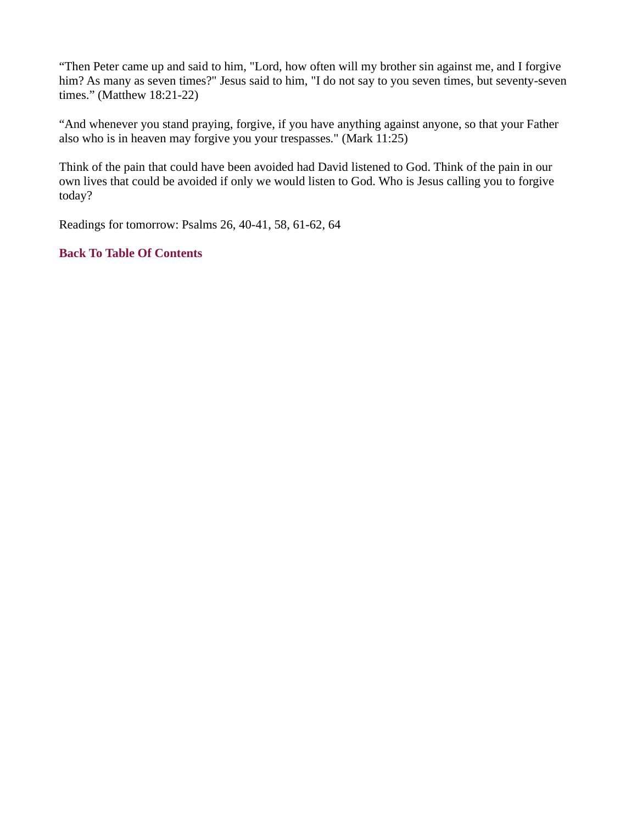"Then Peter came up and said to him, "Lord, how often will my brother sin against me, and I forgive him? As many as seven times?" Jesus said to him, "I do not say to you seven times, but seventy-seven times." (Matthew 18:21-22)

"And whenever you stand praying, forgive, if you have anything against anyone, so that your Father also who is in heaven may forgive you your trespasses." (Mark 11:25)

Think of the pain that could have been avoided had David listened to God. Think of the pain in our own lives that could be avoided if only we would listen to God. Who is Jesus calling you to forgive today?

Readings for tomorrow: Psalms 26, 40-41, 58, 61-62, 64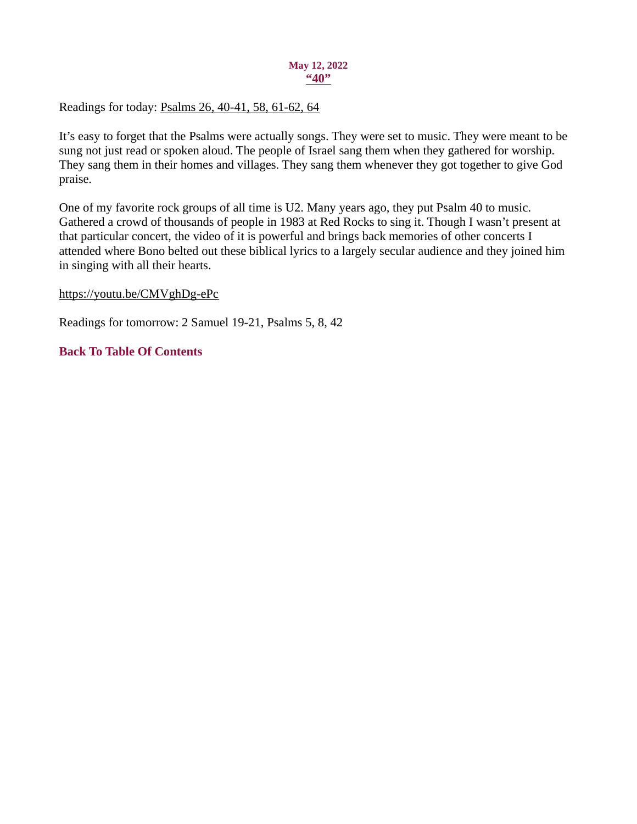#### May 12, 2022  $``40"$

<span id="page-15-0"></span>Readings for toda[y: Psalms 26, 40-41, 58, 61-62, 64](https://www.biblegateway.com/passage/?search=Psalms+26%2C+40-41%2C+58%2C+61-62%2C+64&version=ESV)

It's easy to forget that the Psalms were actually songs. They were set to music. They were meant to be sung not just read or spoken aloud. The people of Israel sang them when they gathered for worship. They sang them in their homes and villages. They sang them whenever they got together to give God praise.

One of my favorite rock groups of all time is U2. Many years ago, they put Psalm 40 to music. Gathered a crowd of thousands of people in 1983 at Red Rocks to sing it. Though I wasn't present at that particular concert, the video of it is powerful and brings back memories of other concerts I attended where Bono belted out these biblical lyrics to a largely secular audience and they joined him in singing with all their hearts.

## https://youtu.be/CMVghDg-ePc

Readings for tomorrow: 2 Samuel 19-21, Psalms 5, 8, 42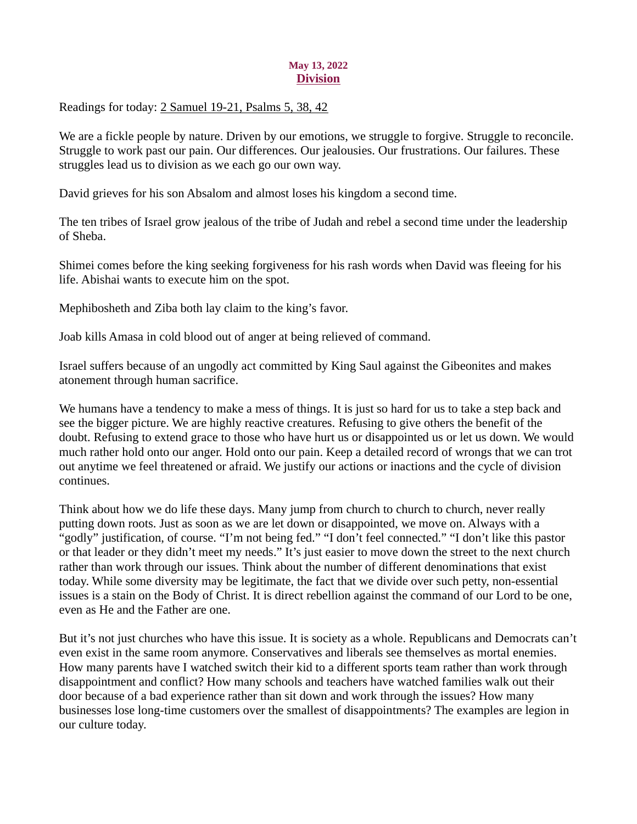### May 13, 2022 **Division**

<span id="page-16-0"></span>Readings for toda[y: 2 Samuel 19-21, Psalms 5, 38, 42](https://www.biblegateway.com/passage/?search=2+Samuel+19-21%2C+Psalms+5%2C+38%2C+42&version=ESV)

We are a fickle people by nature. Driven by our emotions, we struggle to forgive. Struggle to reconcile. Struggle to work past our pain. Our differences. Our jealousies. Our frustrations. Our failures. These struggles lead us to division as we each go our own way.

David grieves for his son Absalom and almost loses his kingdom a second time.

The ten tribes of Israel grow jealous of the tribe of Judah and rebel a second time under the leadership of Sheba.

Shimei comes before the king seeking forgiveness for his rash words when David was fleeing for his life. Abishai wants to execute him on the spot.

Mephibosheth and Ziba both lay claim to the king's favor.

Joab kills Amasa in cold blood out of anger at being relieved of command.

Israel suffers because of an ungodly act committed by King Saul against the Gibeonites and makes atonement through human sacrifice.

We humans have a tendency to make a mess of things. It is just so hard for us to take a step back and see the bigger picture. We are highly reactive creatures. Refusing to give others the benefit of the doubt. Refusing to extend grace to those who have hurt us or disappointed us or let us down. We would much rather hold onto our anger. Hold onto our pain. Keep a detailed record of wrongs that we can trot out anytime we feel threatened or afraid. We justify our actions or inactions and the cycle of division continues.

Think about how we do life these days. Many jump from church to church to church, never really putting down roots. Just as soon as we are let down or disappointed, we move on. Always with a "godly" justification, of course. "I'm not being fed." "I don't feel connected." "I don't like this pastor or that leader or they didn't meet my needs." It's just easier to move down the street to the next church rather than work through our issues. Think about the number of different denominations that exist today. While some diversity may be legitimate, the fact that we divide over such petty, non-essential issues is a stain on the Body of Christ. It is direct rebellion against the command of our Lord to be one, even as He and the Father are one.

But it's not just churches who have this issue. It is society as a whole. Republicans and Democrats can't even exist in the same room anymore. Conservatives and liberals see themselves as mortal enemies. How many parents have I watched switch their kid to a different sports team rather than work through disappointment and conflict? How many schools and teachers have watched families walk out their door because of a bad experience rather than sit down and work through the issues? How many businesses lose long-time customers over the smallest of disappointments? The examples are legion in our culture today.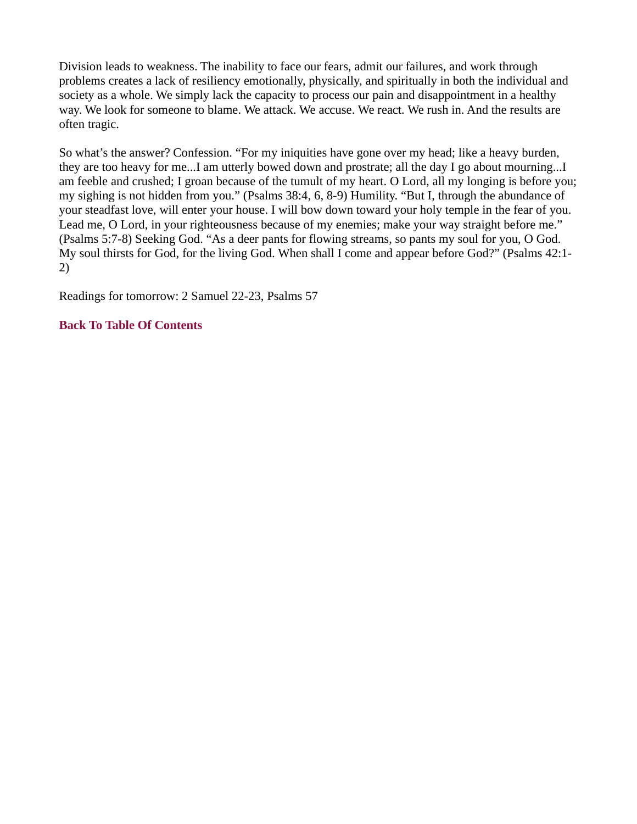<span id="page-17-0"></span>Division leads to weakness. The inability to face our fears, admit our failures, and work through problems creates a lack of resiliency emotionally, physically, and spiritually in both the individual and society as a whole. We simply lack the capacity to process our pain and disappointment in a healthy way. We look for someone to blame. We attack. We accuse. We react. We rush in. And the results are often tragic.

So what's the answer? Confession. "For my iniquities have gone over my head; like a heavy burden, they are too heavy for me...I am utterly bowed down and prostrate; all the day I go about mourning...I am feeble and crushed; I groan because of the tumult of my heart. O Lord, all my longing is before you; my sighing is not hidden from you." (Psalms 38:4, 6, 8-9) Humility. "But I, through the abundance of your steadfast love, will enter your house. I will bow down toward your holy temple in the fear of you. Lead me, O Lord, in your righteousness because of my enemies; make your way straight before me." (Psalms 5:7-8) Seeking God. "As a deer pants for flowing streams, so pants my soul for you, O God. My soul thirsts for God, for the living God. When shall I come and appear before God?" (Psalms 42:1- 2)

Readings for tomorrow: 2 Samuel 22-23, Psalms 57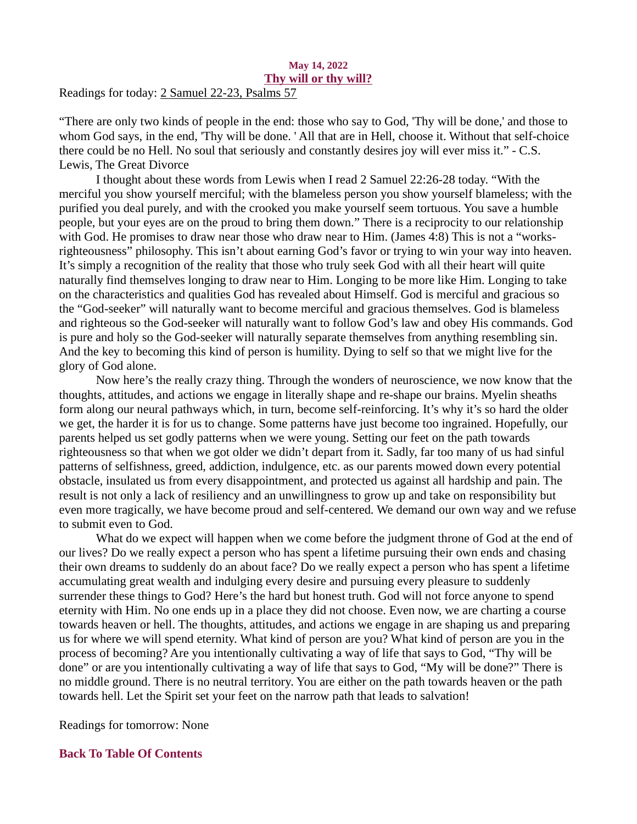#### May 14, 2022 Thy will or thy will? Readings for today: [2 Samuel 22-23, Psalms 57](https://www.biblegateway.com/passage/?search=2+Samuel+22-23%2C+Psalms+57&version=ESV)

"There are only two kinds of people in the end: those who say to God, 'Thy will be done,' and those to whom God says, in the end, 'Thy will be done. ' All that are in Hell, choose it. Without that self-choice there could be no Hell. No soul that seriously and constantly desires joy will ever miss it." - C.S. Lewis, The Great Divorce

I thought about these words from Lewis when I read 2 Samuel 22:26-28 today. "With the merciful you show yourself merciful; with the blameless person you show yourself blameless; with the purified you deal purely, and with the crooked you make yourself seem tortuous. You save a humble people, but your eyes are on the proud to bring them down." There is a reciprocity to our relationship with God. He promises to draw near those who draw near to Him. (James 4:8) This is not a "worksrighteousness" philosophy. This isn't about earning God's favor or trying to win your way into heaven. It's simply a recognition of the reality that those who truly seek God with all their heart will quite naturally find themselves longing to draw near to Him. Longing to be more like Him. Longing to take on the characteristics and qualities God has revealed about Himself. God is merciful and gracious so the "God-seeker" will naturally want to become merciful and gracious themselves. God is blameless and righteous so the God-seeker will naturally want to follow God's law and obey His commands. God is pure and holy so the God-seeker will naturally separate themselves from anything resembling sin. And the key to becoming this kind of person is humility. Dying to self so that we might live for the glory of God alone.

Now here's the really crazy thing. Through the wonders of neuroscience, we now know that the thoughts, attitudes, and actions we engage in literally shape and re-shape our brains. Myelin sheaths form along our neural pathways which, in turn, become self-reinforcing. It's why it's so hard the older we get, the harder it is for us to change. Some patterns have just become too ingrained. Hopefully, our parents helped us set godly patterns when we were young. Setting our feet on the path towards righteousness so that when we got older we didn't depart from it. Sadly, far too many of us had sinful patterns of selfishness, greed, addiction, indulgence, etc. as our parents mowed down every potential obstacle, insulated us from every disappointment, and protected us against all hardship and pain. The result is not only a lack of resiliency and an unwillingness to grow up and take on responsibility but even more tragically, we have become proud and self-centered. We demand our own way and we refuse to submit even to God.

What do we expect will happen when we come before the judgment throne of God at the end of our lives? Do we really expect a person who has spent a lifetime pursuing their own ends and chasing their own dreams to suddenly do an about face? Do we really expect a person who has spent a lifetime accumulating great wealth and indulging every desire and pursuing every pleasure to suddenly surrender these things to God? Here's the hard but honest truth. God will not force anyone to spend eternity with Him. No one ends up in a place they did not choose. Even now, we are charting a course towards heaven or hell. The thoughts, attitudes, and actions we engage in are shaping us and preparing us for where we will spend eternity. What kind of person are you? What kind of person are you in the process of becoming? Are you intentionally cultivating a way of life that says to God, "Thy will be done" or are you intentionally cultivating a way of life that says to God, "My will be done?" There is no middle ground. There is no neutral territory. You are either on the path towards heaven or the path towards hell. Let the Spirit set your feet on the narrow path that leads to salvation!

Readings for tomorrow: None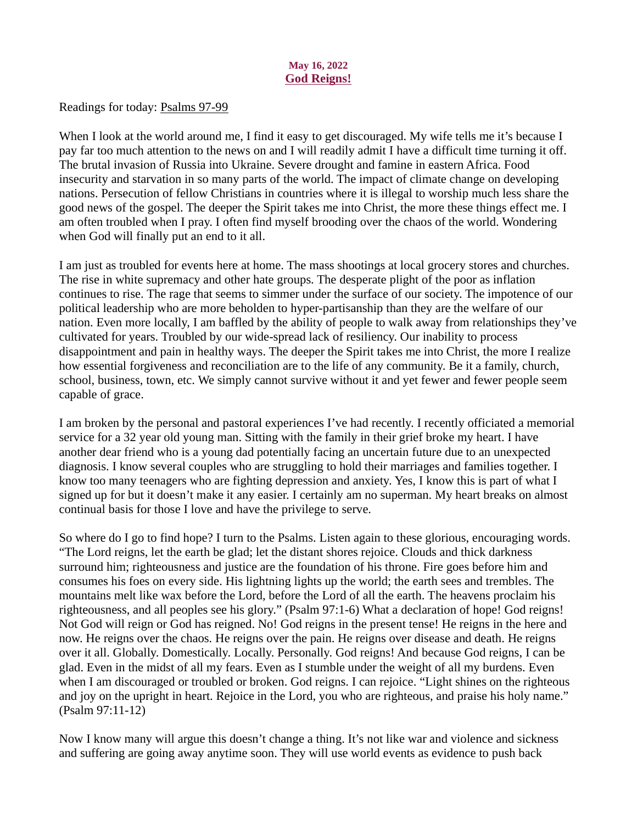### May 16, 2022 God Reigns!

<span id="page-19-0"></span>Readings for toda[y: Psalms 97-99](https://www.biblegateway.com/passage/?search=Psalms+97-99&version=ESV)

When I look at the world around me, I find it easy to get discouraged. My wife tells me it's because I pay far too much attention to the news on and I will readily admit I have a difficult time turning it off. The brutal invasion of Russia into Ukraine. Severe drought and famine in eastern Africa. Food insecurity and starvation in so many parts of the world. The impact of climate change on developing nations. Persecution of fellow Christians in countries where it is illegal to worship much less share the good news of the gospel. The deeper the Spirit takes me into Christ, the more these things effect me. I am often troubled when I pray. I often find myself brooding over the chaos of the world. Wondering when God will finally put an end to it all.

I am just as troubled for events here at home. The mass shootings at local grocery stores and churches. The rise in white supremacy and other hate groups. The desperate plight of the poor as inflation continues to rise. The rage that seems to simmer under the surface of our society. The impotence of our political leadership who are more beholden to hyper-partisanship than they are the welfare of our nation. Even more locally, I am baffled by the ability of people to walk away from relationships they've cultivated for years. Troubled by our wide-spread lack of resiliency. Our inability to process disappointment and pain in healthy ways. The deeper the Spirit takes me into Christ, the more I realize how essential forgiveness and reconciliation are to the life of any community. Be it a family, church, school, business, town, etc. We simply cannot survive without it and yet fewer and fewer people seem capable of grace.

I am broken by the personal and pastoral experiences I've had recently. I recently officiated a memorial service for a 32 year old young man. Sitting with the family in their grief broke my heart. I have another dear friend who is a young dad potentially facing an uncertain future due to an unexpected diagnosis. I know several couples who are struggling to hold their marriages and families together. I know too many teenagers who are fighting depression and anxiety. Yes, I know this is part of what I signed up for but it doesn't make it any easier. I certainly am no superman. My heart breaks on almost continual basis for those I love and have the privilege to serve.

So where do I go to find hope? I turn to the Psalms. Listen again to these glorious, encouraging words. "The Lord reigns, let the earth be glad; let the distant shores rejoice. Clouds and thick darkness surround him; righteousness and justice are the foundation of his throne. Fire goes before him and consumes his foes on every side. His lightning lights up the world; the earth sees and trembles. The mountains melt like wax before the Lord, before the Lord of all the earth. The heavens proclaim his righteousness, and all peoples see his glory." (Psalm 97:1-6) What a declaration of hope! God reigns! Not God will reign or God has reigned. No! God reigns in the present tense! He reigns in the here and now. He reigns over the chaos. He reigns over the pain. He reigns over disease and death. He reigns over it all. Globally. Domestically. Locally. Personally. God reigns! And because God reigns, I can be glad. Even in the midst of all my fears. Even as I stumble under the weight of all my burdens. Even when I am discouraged or troubled or broken. God reigns. I can rejoice. "Light shines on the righteous and joy on the upright in heart. Rejoice in the Lord, you who are righteous, and praise his holy name." (Psalm 97:11-12)

Now I know many will argue this doesn't change a thing. It's not like war and violence and sickness and suffering are going away anytime soon. They will use world events as evidence to push back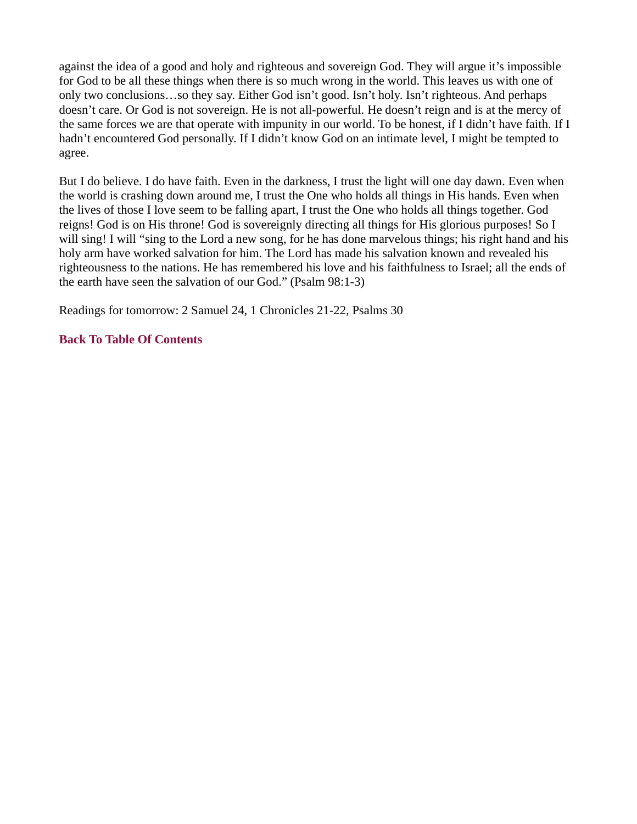against the idea of a good and holy and righteous and sovereign God. They will argue it's impossible for God to be all these things when there is so much wrong in the world. This leaves us with one of only two conclusions…so they say. Either God isn't good. Isn't holy. Isn't righteous. And perhaps doesn't care. Or God is not sovereign. He is not all-powerful. He doesn't reign and is at the mercy of the same forces we are that operate with impunity in our world. To be honest, if I didn't have faith. If I hadn't encountered God personally. If I didn't know God on an intimate level, I might be tempted to agree.

But I do believe. I do have faith. Even in the darkness, I trust the light will one day dawn. Even when the world is crashing down around me, I trust the One who holds all things in His hands. Even when the lives of those I love seem to be falling apart, I trust the One who holds all things together. God reigns! God is on His throne! God is sovereignly directing all things for His glorious purposes! So I will sing! I will "sing to the Lord a new song, for he has done marvelous things; his right hand and his holy arm have worked salvation for him. The Lord has made his salvation known and revealed his righteousness to the nations. He has remembered his love and his faithfulness to Israel; all the ends of the earth have seen the salvation of our God." (Psalm 98:1-3)

Readings for tomorrow: 2 Samuel 24, 1 Chronicles 21-22, Psalms 30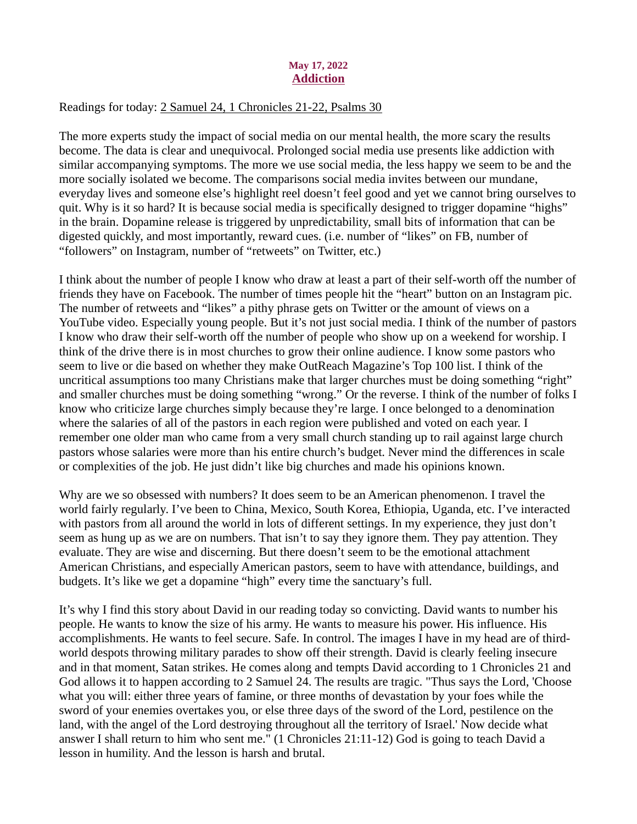### May 17, 2022 Addiction

## <span id="page-21-0"></span>Readings for toda[y: 2 Samuel 24, 1 Chronicles 21-22, Psalms 30](https://www.biblegateway.com/passage/?search=2+Samuel+24%2C+1+Chronicles+21-22%2C+Psalms+30&version=ESV)

The more experts study the impact of social media on our mental health, the more scary the results become. The data is clear and unequivocal. Prolonged social media use presents like addiction with similar accompanying symptoms. The more we use social media, the less happy we seem to be and the more socially isolated we become. The comparisons social media invites between our mundane, everyday lives and someone else's highlight reel doesn't feel good and yet we cannot bring ourselves to quit. Why is it so hard? It is because social media is specifically designed to trigger dopamine "highs" in the brain. Dopamine release is triggered by unpredictability, small bits of information that can be digested quickly, and most importantly, reward cues. (i.e. number of "likes" on FB, number of "followers" on Instagram, number of "retweets" on Twitter, etc.)

I think about the number of people I know who draw at least a part of their self-worth off the number of friends they have on Facebook. The number of times people hit the "heart" button on an Instagram pic. The number of retweets and "likes" a pithy phrase gets on Twitter or the amount of views on a YouTube video. Especially young people. But it's not just social media. I think of the number of pastors I know who draw their self-worth off the number of people who show up on a weekend for worship. I think of the drive there is in most churches to grow their online audience. I know some pastors who seem to live or die based on whether they make OutReach Magazine's Top 100 list. I think of the uncritical assumptions too many Christians make that larger churches must be doing something "right" and smaller churches must be doing something "wrong." Or the reverse. I think of the number of folks I know who criticize large churches simply because they're large. I once belonged to a denomination where the salaries of all of the pastors in each region were published and voted on each year. I remember one older man who came from a very small church standing up to rail against large church pastors whose salaries were more than his entire church's budget. Never mind the differences in scale or complexities of the job. He just didn't like big churches and made his opinions known.

Why are we so obsessed with numbers? It does seem to be an American phenomenon. I travel the world fairly regularly. I've been to China, Mexico, South Korea, Ethiopia, Uganda, etc. I've interacted with pastors from all around the world in lots of different settings. In my experience, they just don't seem as hung up as we are on numbers. That isn't to say they ignore them. They pay attention. They evaluate. They are wise and discerning. But there doesn't seem to be the emotional attachment American Christians, and especially American pastors, seem to have with attendance, buildings, and budgets. It's like we get a dopamine "high" every time the sanctuary's full.

It's why I find this story about David in our reading today so convicting. David wants to number his people. He wants to know the size of his army. He wants to measure his power. His influence. His accomplishments. He wants to feel secure. Safe. In control. The images I have in my head are of thirdworld despots throwing military parades to show off their strength. David is clearly feeling insecure and in that moment, Satan strikes. He comes along and tempts David according to 1 Chronicles 21 and God allows it to happen according to 2 Samuel 24. The results are tragic. "Thus says the Lord, 'Choose what you will: either three years of famine, or three months of devastation by your foes while the sword of your enemies overtakes you, or else three days of the sword of the Lord, pestilence on the land, with the angel of the Lord destroying throughout all the territory of Israel.' Now decide what answer I shall return to him who sent me." (1 Chronicles 21:11-12) God is going to teach David a lesson in humility. And the lesson is harsh and brutal.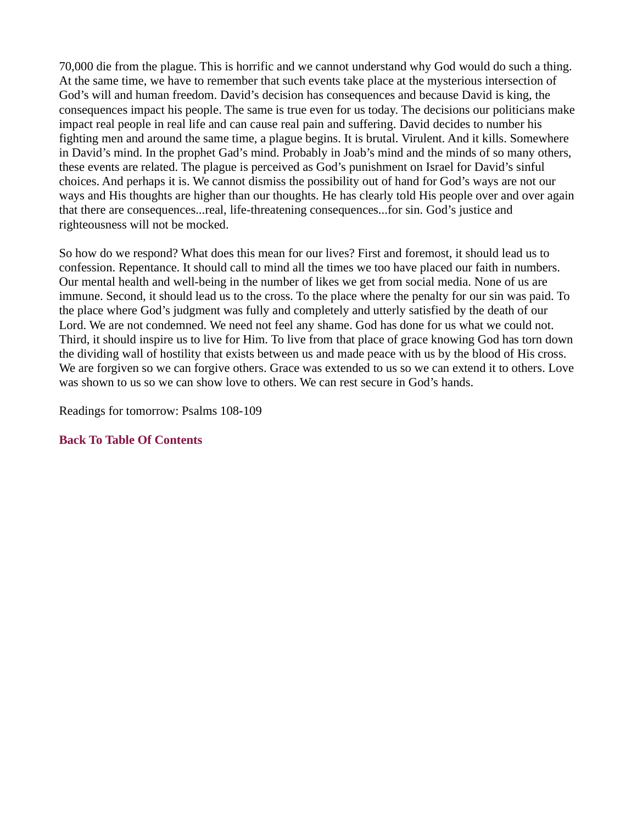70,000 die from the plague. This is horrific and we cannot understand why God would do such a thing. At the same time, we have to remember that such events take place at the mysterious intersection of God's will and human freedom. David's decision has consequences and because David is king, the consequences impact his people. The same is true even for us today. The decisions our politicians make impact real people in real life and can cause real pain and suffering. David decides to number his fighting men and around the same time, a plague begins. It is brutal. Virulent. And it kills. Somewhere in David's mind. In the prophet Gad's mind. Probably in Joab's mind and the minds of so many others, these events are related. The plague is perceived as God's punishment on Israel for David's sinful choices. And perhaps it is. We cannot dismiss the possibility out of hand for God's ways are not our ways and His thoughts are higher than our thoughts. He has clearly told His people over and over again that there are consequences...real, life-threatening consequences...for sin. God's justice and righteousness will not be mocked.

So how do we respond? What does this mean for our lives? First and foremost, it should lead us to confession. Repentance. It should call to mind all the times we too have placed our faith in numbers. Our mental health and well-being in the number of likes we get from social media. None of us are immune. Second, it should lead us to the cross. To the place where the penalty for our sin was paid. To the place where God's judgment was fully and completely and utterly satisfied by the death of our Lord. We are not condemned. We need not feel any shame. God has done for us what we could not. Third, it should inspire us to live for Him. To live from that place of grace knowing God has torn down the dividing wall of hostility that exists between us and made peace with us by the blood of His cross. We are forgiven so we can forgive others. Grace was extended to us so we can extend it to others. Love was shown to us so we can show love to others. We can rest secure in God's hands.

Readings for tomorrow: Psalms 108-109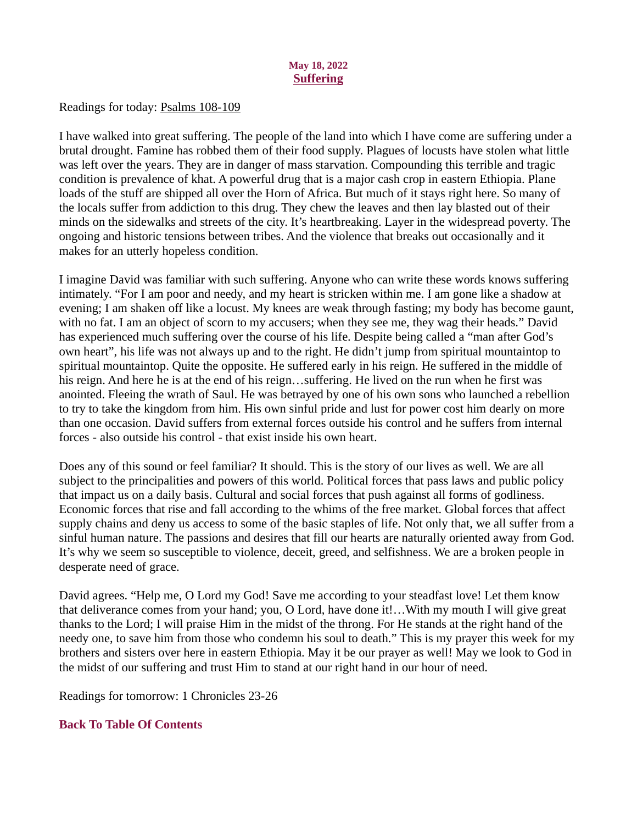## May 18, 2022 **Suffering**

<span id="page-23-0"></span>Readings for today: **Psalms 108-109** 

I have walked into great suffering. The people of the land into which I have come are suffering under a brutal drought. Famine has robbed them of their food supply. Plagues of locusts have stolen what little was left over the years. They are in danger of mass starvation. Compounding this terrible and tragic condition is prevalence of khat. A powerful drug that is a major cash crop in eastern Ethiopia. Plane loads of the stuff are shipped all over the Horn of Africa. But much of it stays right here. So many of the locals suffer from addiction to this drug. They chew the leaves and then lay blasted out of their minds on the sidewalks and streets of the city. It's heartbreaking. Layer in the widespread poverty. The ongoing and historic tensions between tribes. And the violence that breaks out occasionally and it makes for an utterly hopeless condition.

I imagine David was familiar with such suffering. Anyone who can write these words knows suffering intimately. "For I am poor and needy, and my heart is stricken within me. I am gone like a shadow at evening; I am shaken off like a locust. My knees are weak through fasting; my body has become gaunt, with no fat. I am an object of scorn to my accusers; when they see me, they wag their heads." David has experienced much suffering over the course of his life. Despite being called a "man after God's own heart", his life was not always up and to the right. He didn't jump from spiritual mountaintop to spiritual mountaintop. Quite the opposite. He suffered early in his reign. He suffered in the middle of his reign. And here he is at the end of his reign…suffering. He lived on the run when he first was anointed. Fleeing the wrath of Saul. He was betrayed by one of his own sons who launched a rebellion to try to take the kingdom from him. His own sinful pride and lust for power cost him dearly on more than one occasion. David suffers from external forces outside his control and he suffers from internal forces - also outside his control - that exist inside his own heart.

Does any of this sound or feel familiar? It should. This is the story of our lives as well. We are all subject to the principalities and powers of this world. Political forces that pass laws and public policy that impact us on a daily basis. Cultural and social forces that push against all forms of godliness. Economic forces that rise and fall according to the whims of the free market. Global forces that affect supply chains and deny us access to some of the basic staples of life. Not only that, we all suffer from a sinful human nature. The passions and desires that fill our hearts are naturally oriented away from God. It's why we seem so susceptible to violence, deceit, greed, and selfishness. We are a broken people in desperate need of grace.

David agrees. "Help me, O Lord my God! Save me according to your steadfast love! Let them know that deliverance comes from your hand; you, O Lord, have done it!…With my mouth I will give great thanks to the Lord; I will praise Him in the midst of the throng. For He stands at the right hand of the needy one, to save him from those who condemn his soul to death." This is my prayer this week for my brothers and sisters over here in eastern Ethiopia. May it be our prayer as well! May we look to God in the midst of our suffering and trust Him to stand at our right hand in our hour of need.

Readings for tomorrow: 1 Chronicles 23-26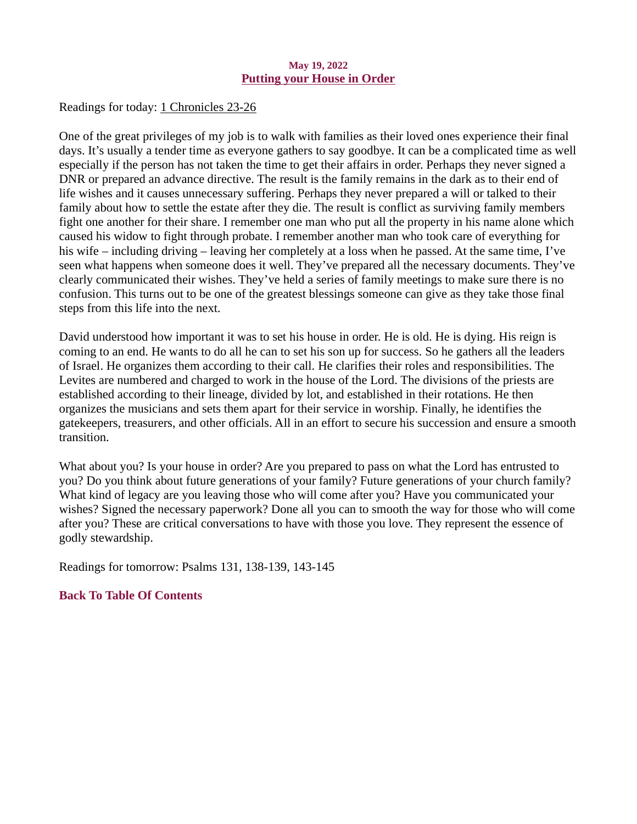#### May 19, 2022 Putting your House in Order

<span id="page-24-0"></span>Readings for toda[y: 1 Chronicles 23-26](https://www.biblegateway.com/passage/?search=1+Chronicles+23-26&version=ESV)

One of the great privileges of my job is to walk with families as their loved ones experience their final days. It's usually a tender time as everyone gathers to say goodbye. It can be a complicated time as well especially if the person has not taken the time to get their affairs in order. Perhaps they never signed a DNR or prepared an advance directive. The result is the family remains in the dark as to their end of life wishes and it causes unnecessary suffering. Perhaps they never prepared a will or talked to their family about how to settle the estate after they die. The result is conflict as surviving family members fight one another for their share. I remember one man who put all the property in his name alone which caused his widow to fight through probate. I remember another man who took care of everything for his wife – including driving – leaving her completely at a loss when he passed. At the same time, I've seen what happens when someone does it well. They've prepared all the necessary documents. They've clearly communicated their wishes. They've held a series of family meetings to make sure there is no confusion. This turns out to be one of the greatest blessings someone can give as they take those final steps from this life into the next.

David understood how important it was to set his house in order. He is old. He is dying. His reign is coming to an end. He wants to do all he can to set his son up for success. So he gathers all the leaders of Israel. He organizes them according to their call. He clarifies their roles and responsibilities. The Levites are numbered and charged to work in the house of the Lord. The divisions of the priests are established according to their lineage, divided by lot, and established in their rotations. He then organizes the musicians and sets them apart for their service in worship. Finally, he identifies the gatekeepers, treasurers, and other officials. All in an effort to secure his succession and ensure a smooth transition.

What about you? Is your house in order? Are you prepared to pass on what the Lord has entrusted to you? Do you think about future generations of your family? Future generations of your church family? What kind of legacy are you leaving those who will come after you? Have you communicated your wishes? Signed the necessary paperwork? Done all you can to smooth the way for those who will come after you? These are critical conversations to have with those you love. They represent the essence of godly stewardship.

Readings for tomorrow: Psalms 131, 138-139, 143-145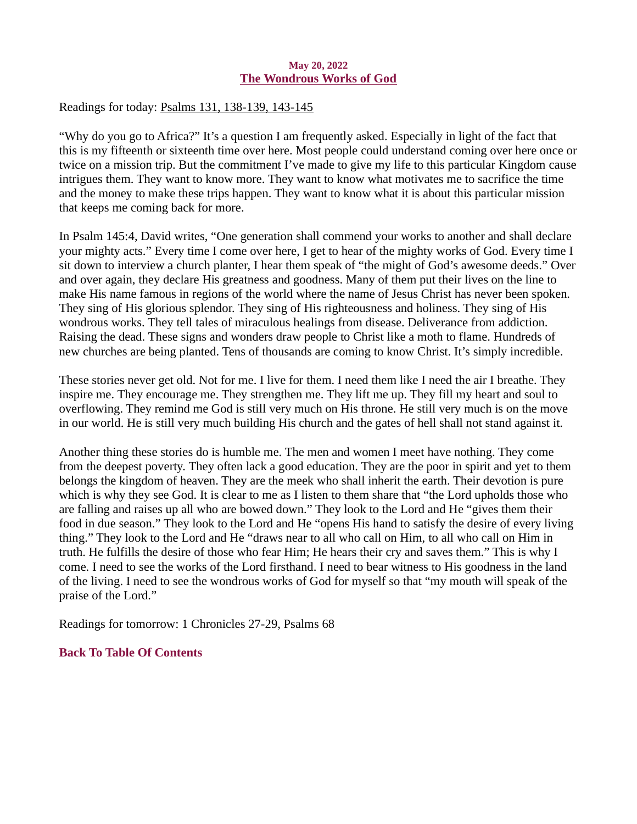#### May 20, 2022 The Wondrous Works of God

<span id="page-25-0"></span>Readings for today[: Psalms 131, 138-139, 143-145](https://www.biblegateway.com/passage/?search=Psalms+131%2C+138-139%2C+143-145&version=ESV)

"Why do you go to Africa?" It's a question I am frequently asked. Especially in light of the fact that this is my fifteenth or sixteenth time over here. Most people could understand coming over here once or twice on a mission trip. But the commitment I've made to give my life to this particular Kingdom cause intrigues them. They want to know more. They want to know what motivates me to sacrifice the time and the money to make these trips happen. They want to know what it is about this particular mission that keeps me coming back for more.

In Psalm 145:4, David writes, "One generation shall commend your works to another and shall declare your mighty acts." Every time I come over here, I get to hear of the mighty works of God. Every time I sit down to interview a church planter, I hear them speak of "the might of God's awesome deeds." Over and over again, they declare His greatness and goodness. Many of them put their lives on the line to make His name famous in regions of the world where the name of Jesus Christ has never been spoken. They sing of His glorious splendor. They sing of His righteousness and holiness. They sing of His wondrous works. They tell tales of miraculous healings from disease. Deliverance from addiction. Raising the dead. These signs and wonders draw people to Christ like a moth to flame. Hundreds of new churches are being planted. Tens of thousands are coming to know Christ. It's simply incredible.

These stories never get old. Not for me. I live for them. I need them like I need the air I breathe. They inspire me. They encourage me. They strengthen me. They lift me up. They fill my heart and soul to overflowing. They remind me God is still very much on His throne. He still very much is on the move in our world. He is still very much building His church and the gates of hell shall not stand against it.

Another thing these stories do is humble me. The men and women I meet have nothing. They come from the deepest poverty. They often lack a good education. They are the poor in spirit and yet to them belongs the kingdom of heaven. They are the meek who shall inherit the earth. Their devotion is pure which is why they see God. It is clear to me as I listen to them share that "the Lord upholds those who are falling and raises up all who are bowed down." They look to the Lord and He "gives them their food in due season." They look to the Lord and He "opens His hand to satisfy the desire of every living thing." They look to the Lord and He "draws near to all who call on Him, to all who call on Him in truth. He fulfills the desire of those who fear Him; He hears their cry and saves them." This is why I come. I need to see the works of the Lord firsthand. I need to bear witness to His goodness in the land of the living. I need to see the wondrous works of God for myself so that "my mouth will speak of the praise of the Lord."

Readings for tomorrow: 1 Chronicles 27-29, Psalms 68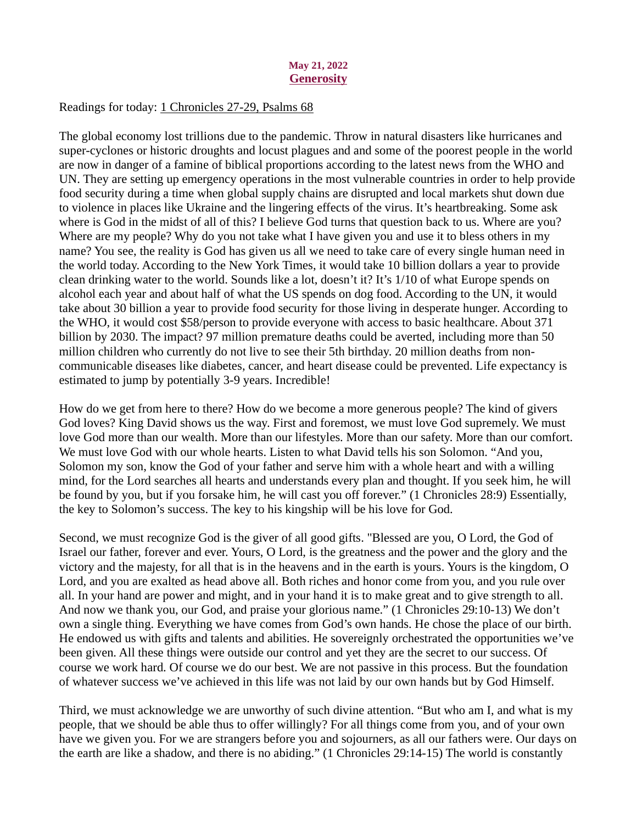#### May 21, 2022 **Generosity**

## <span id="page-26-0"></span>Readings for today: [1 Chronicles 27-29, Psalms 68](https://www.biblegateway.com/passage/?search=1+Chronicles+27-29%2C+Psalms+68&version=ESV)

The global economy lost trillions due to the pandemic. Throw in natural disasters like hurricanes and super-cyclones or historic droughts and locust plagues and and some of the poorest people in the world are now in danger of a famine of biblical proportions according to the latest news from the WHO and UN. They are setting up emergency operations in the most vulnerable countries in order to help provide food security during a time when global supply chains are disrupted and local markets shut down due to violence in places like Ukraine and the lingering effects of the virus. It's heartbreaking. Some ask where is God in the midst of all of this? I believe God turns that question back to us. Where are you? Where are my people? Why do you not take what I have given you and use it to bless others in my name? You see, the reality is God has given us all we need to take care of every single human need in the world today. According to the New York Times, it would take 10 billion dollars a year to provide clean drinking water to the world. Sounds like a lot, doesn't it? It's 1/10 of what Europe spends on alcohol each year and about half of what the US spends on dog food. According to the UN, it would take about 30 billion a year to provide food security for those living in desperate hunger. According to the WHO, it would cost \$58/person to provide everyone with access to basic healthcare. About 371 billion by 2030. The impact? 97 million premature deaths could be averted, including more than 50 million children who currently do not live to see their 5th birthday. 20 million deaths from noncommunicable diseases like diabetes, cancer, and heart disease could be prevented. Life expectancy is estimated to jump by potentially 3-9 years. Incredible!

How do we get from here to there? How do we become a more generous people? The kind of givers God loves? King David shows us the way. First and foremost, we must love God supremely. We must love God more than our wealth. More than our lifestyles. More than our safety. More than our comfort. We must love God with our whole hearts. Listen to what David tells his son Solomon. "And you, Solomon my son, know the God of your father and serve him with a whole heart and with a willing mind, for the Lord searches all hearts and understands every plan and thought. If you seek him, he will be found by you, but if you forsake him, he will cast you off forever." (1 Chronicles 28:9) Essentially, the key to Solomon's success. The key to his kingship will be his love for God.

Second, we must recognize God is the giver of all good gifts. "Blessed are you, O Lord, the God of Israel our father, forever and ever. Yours, O Lord, is the greatness and the power and the glory and the victory and the majesty, for all that is in the heavens and in the earth is yours. Yours is the kingdom, O Lord, and you are exalted as head above all. Both riches and honor come from you, and you rule over all. In your hand are power and might, and in your hand it is to make great and to give strength to all. And now we thank you, our God, and praise your glorious name." (1 Chronicles 29:10-13) We don't own a single thing. Everything we have comes from God's own hands. He chose the place of our birth. He endowed us with gifts and talents and abilities. He sovereignly orchestrated the opportunities we've been given. All these things were outside our control and yet they are the secret to our success. Of course we work hard. Of course we do our best. We are not passive in this process. But the foundation of whatever success we've achieved in this life was not laid by our own hands but by God Himself.

Third, we must acknowledge we are unworthy of such divine attention. "But who am I, and what is my people, that we should be able thus to offer willingly? For all things come from you, and of your own have we given you. For we are strangers before you and sojourners, as all our fathers were. Our days on the earth are like a shadow, and there is no abiding." (1 Chronicles 29:14-15) The world is constantly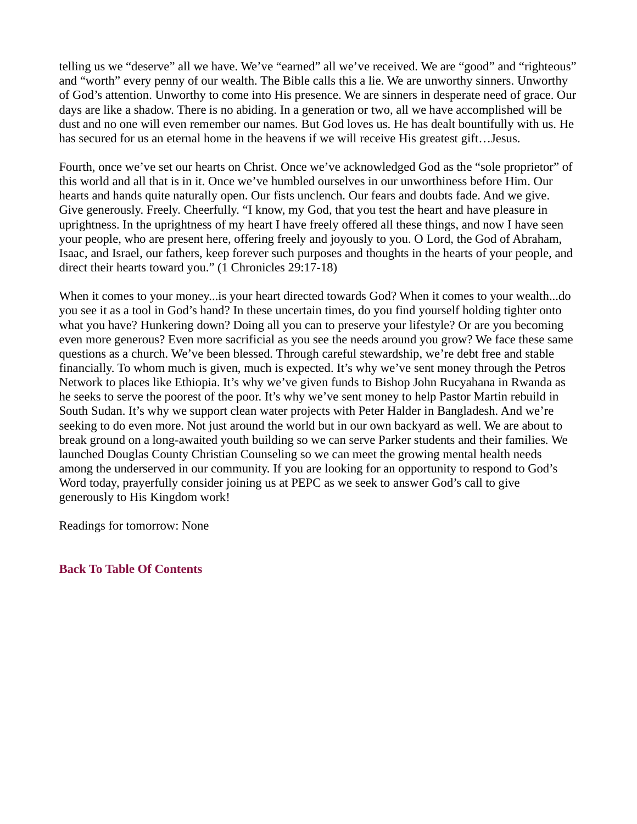telling us we "deserve" all we have. We've "earned" all we've received. We are "good" and "righteous" and "worth" every penny of our wealth. The Bible calls this a lie. We are unworthy sinners. Unworthy of God's attention. Unworthy to come into His presence. We are sinners in desperate need of grace. Our days are like a shadow. There is no abiding. In a generation or two, all we have accomplished will be dust and no one will even remember our names. But God loves us. He has dealt bountifully with us. He has secured for us an eternal home in the heavens if we will receive His greatest gift...Jesus.

Fourth, once we've set our hearts on Christ. Once we've acknowledged God as the "sole proprietor" of this world and all that is in it. Once we've humbled ourselves in our unworthiness before Him. Our hearts and hands quite naturally open. Our fists unclench. Our fears and doubts fade. And we give. Give generously. Freely. Cheerfully. "I know, my God, that you test the heart and have pleasure in uprightness. In the uprightness of my heart I have freely offered all these things, and now I have seen your people, who are present here, offering freely and joyously to you. O Lord, the God of Abraham, Isaac, and Israel, our fathers, keep forever such purposes and thoughts in the hearts of your people, and direct their hearts toward you." (1 Chronicles 29:17-18)

When it comes to your money...is your heart directed towards God? When it comes to your wealth...do you see it as a tool in God's hand? In these uncertain times, do you find yourself holding tighter onto what you have? Hunkering down? Doing all you can to preserve your lifestyle? Or are you becoming even more generous? Even more sacrificial as you see the needs around you grow? We face these same questions as a church. We've been blessed. Through careful stewardship, we're debt free and stable financially. To whom much is given, much is expected. It's why we've sent money through the Petros Network to places like Ethiopia. It's why we've given funds to Bishop John Rucyahana in Rwanda as he seeks to serve the poorest of the poor. It's why we've sent money to help Pastor Martin rebuild in South Sudan. It's why we support clean water projects with Peter Halder in Bangladesh. And we're seeking to do even more. Not just around the world but in our own backyard as well. We are about to break ground on a long-awaited youth building so we can serve Parker students and their families. We launched Douglas County Christian Counseling so we can meet the growing mental health needs among the underserved in our community. If you are looking for an opportunity to respond to God's Word today, prayerfully consider joining us at PEPC as we seek to answer God's call to give generously to His Kingdom work!

Readings for tomorrow: None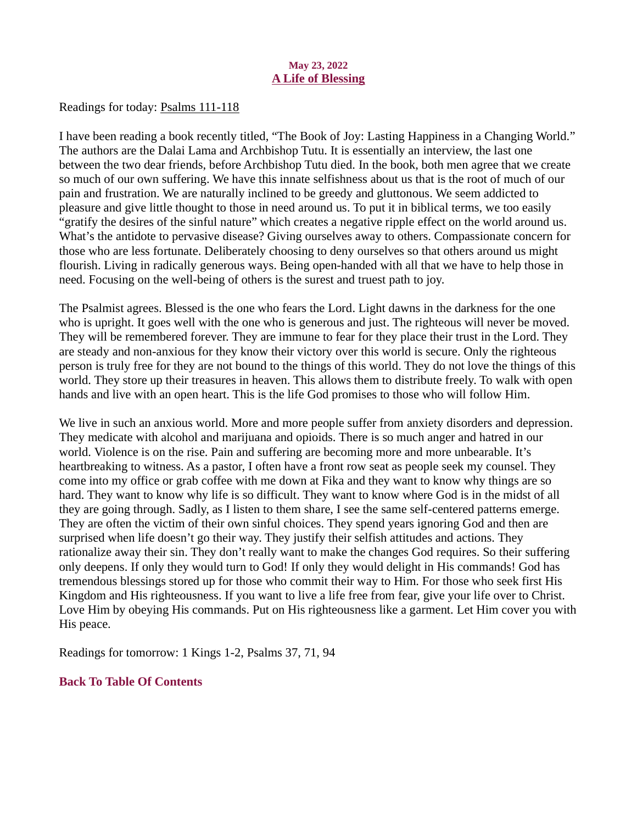### May 23, 2022 A Life of Blessing

<span id="page-28-0"></span>Readings for today: **Psalms 111-118** 

I have been reading a book recently titled, "The Book of Joy: Lasting Happiness in a Changing World." The authors are the Dalai Lama and Archbishop Tutu. It is essentially an interview, the last one between the two dear friends, before Archbishop Tutu died. In the book, both men agree that we create so much of our own suffering. We have this innate selfishness about us that is the root of much of our pain and frustration. We are naturally inclined to be greedy and gluttonous. We seem addicted to pleasure and give little thought to those in need around us. To put it in biblical terms, we too easily "gratify the desires of the sinful nature" which creates a negative ripple effect on the world around us. What's the antidote to pervasive disease? Giving ourselves away to others. Compassionate concern for those who are less fortunate. Deliberately choosing to deny ourselves so that others around us might flourish. Living in radically generous ways. Being open-handed with all that we have to help those in need. Focusing on the well-being of others is the surest and truest path to joy.

The Psalmist agrees. Blessed is the one who fears the Lord. Light dawns in the darkness for the one who is upright. It goes well with the one who is generous and just. The righteous will never be moved. They will be remembered forever. They are immune to fear for they place their trust in the Lord. They are steady and non-anxious for they know their victory over this world is secure. Only the righteous person is truly free for they are not bound to the things of this world. They do not love the things of this world. They store up their treasures in heaven. This allows them to distribute freely. To walk with open hands and live with an open heart. This is the life God promises to those who will follow Him.

We live in such an anxious world. More and more people suffer from anxiety disorders and depression. They medicate with alcohol and marijuana and opioids. There is so much anger and hatred in our world. Violence is on the rise. Pain and suffering are becoming more and more unbearable. It's heartbreaking to witness. As a pastor, I often have a front row seat as people seek my counsel. They come into my office or grab coffee with me down at Fika and they want to know why things are so hard. They want to know why life is so difficult. They want to know where God is in the midst of all they are going through. Sadly, as I listen to them share, I see the same self-centered patterns emerge. They are often the victim of their own sinful choices. They spend years ignoring God and then are surprised when life doesn't go their way. They justify their selfish attitudes and actions. They rationalize away their sin. They don't really want to make the changes God requires. So their suffering only deepens. If only they would turn to God! If only they would delight in His commands! God has tremendous blessings stored up for those who commit their way to Him. For those who seek first His Kingdom and His righteousness. If you want to live a life free from fear, give your life over to Christ. Love Him by obeying His commands. Put on His righteousness like a garment. Let Him cover you with His peace.

Readings for tomorrow: 1 Kings 1-2, Psalms 37, 71, 94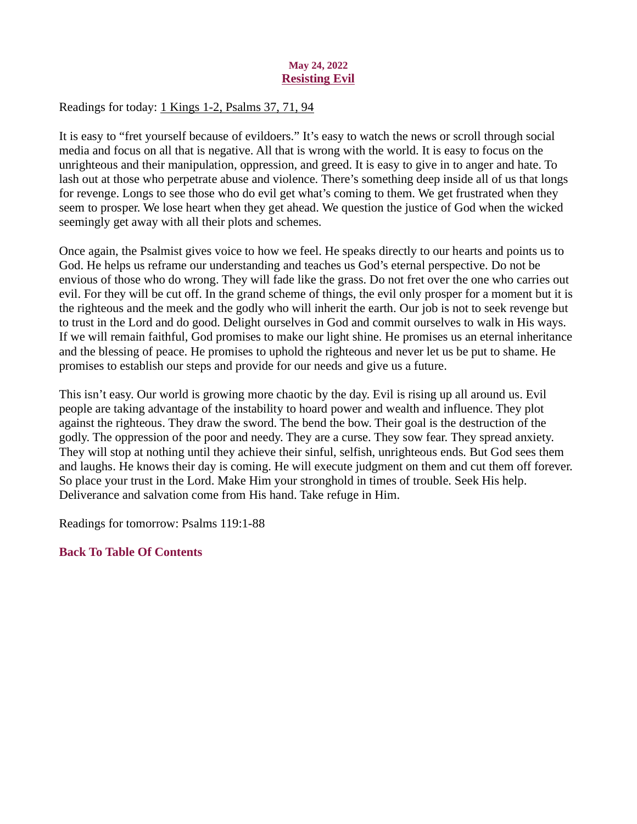## May 24, 2022 Resisting Evil

<span id="page-29-0"></span>Readings for today: [1 Kings 1-2, Psalms 37, 71, 94](https://www.biblegateway.com/passage/?search=1+Kings+1-2%2C+Psalms+37%2C+71%2C+94&version=ESV)

It is easy to "fret yourself because of evildoers." It's easy to watch the news or scroll through social media and focus on all that is negative. All that is wrong with the world. It is easy to focus on the unrighteous and their manipulation, oppression, and greed. It is easy to give in to anger and hate. To lash out at those who perpetrate abuse and violence. There's something deep inside all of us that longs for revenge. Longs to see those who do evil get what's coming to them. We get frustrated when they seem to prosper. We lose heart when they get ahead. We question the justice of God when the wicked seemingly get away with all their plots and schemes.

Once again, the Psalmist gives voice to how we feel. He speaks directly to our hearts and points us to God. He helps us reframe our understanding and teaches us God's eternal perspective. Do not be envious of those who do wrong. They will fade like the grass. Do not fret over the one who carries out evil. For they will be cut off. In the grand scheme of things, the evil only prosper for a moment but it is the righteous and the meek and the godly who will inherit the earth. Our job is not to seek revenge but to trust in the Lord and do good. Delight ourselves in God and commit ourselves to walk in His ways. If we will remain faithful, God promises to make our light shine. He promises us an eternal inheritance and the blessing of peace. He promises to uphold the righteous and never let us be put to shame. He promises to establish our steps and provide for our needs and give us a future.

This isn't easy. Our world is growing more chaotic by the day. Evil is rising up all around us. Evil people are taking advantage of the instability to hoard power and wealth and influence. They plot against the righteous. They draw the sword. The bend the bow. Their goal is the destruction of the godly. The oppression of the poor and needy. They are a curse. They sow fear. They spread anxiety. They will stop at nothing until they achieve their sinful, selfish, unrighteous ends. But God sees them and laughs. He knows their day is coming. He will execute judgment on them and cut them off forever. So place your trust in the Lord. Make Him your stronghold in times of trouble. Seek His help. Deliverance and salvation come from His hand. Take refuge in Him.

Readings for tomorrow: Psalms 119:1-88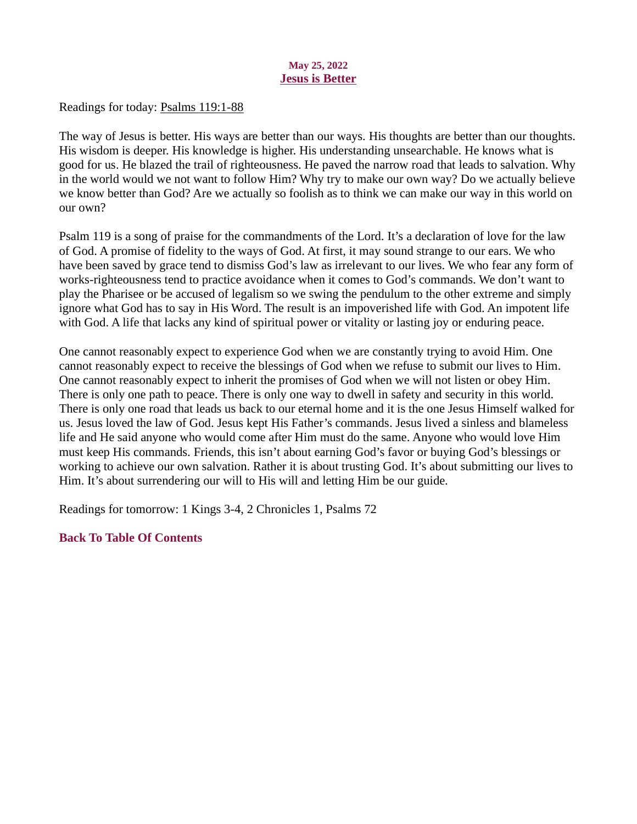#### May 25, 2022 Jesus is Better

<span id="page-30-0"></span>Readings for today[: Psalms 119:1-88](https://www.biblegateway.com/passage/?search=Psalms+119%3A1-88&version=ESV)

The way of Jesus is better. His ways are better than our ways. His thoughts are better than our thoughts. His wisdom is deeper. His knowledge is higher. His understanding unsearchable. He knows what is good for us. He blazed the trail of righteousness. He paved the narrow road that leads to salvation. Why in the world would we not want to follow Him? Why try to make our own way? Do we actually believe we know better than God? Are we actually so foolish as to think we can make our way in this world on our own?

Psalm 119 is a song of praise for the commandments of the Lord. It's a declaration of love for the law of God. A promise of fidelity to the ways of God. At first, it may sound strange to our ears. We who have been saved by grace tend to dismiss God's law as irrelevant to our lives. We who fear any form of works-righteousness tend to practice avoidance when it comes to God's commands. We don't want to play the Pharisee or be accused of legalism so we swing the pendulum to the other extreme and simply ignore what God has to say in His Word. The result is an impoverished life with God. An impotent life with God. A life that lacks any kind of spiritual power or vitality or lasting joy or enduring peace.

One cannot reasonably expect to experience God when we are constantly trying to avoid Him. One cannot reasonably expect to receive the blessings of God when we refuse to submit our lives to Him. One cannot reasonably expect to inherit the promises of God when we will not listen or obey Him. There is only one path to peace. There is only one way to dwell in safety and security in this world. There is only one road that leads us back to our eternal home and it is the one Jesus Himself walked for us. Jesus loved the law of God. Jesus kept His Father's commands. Jesus lived a sinless and blameless life and He said anyone who would come after Him must do the same. Anyone who would love Him must keep His commands. Friends, this isn't about earning God's favor or buying God's blessings or working to achieve our own salvation. Rather it is about trusting God. It's about submitting our lives to Him. It's about surrendering our will to His will and letting Him be our guide.

Readings for tomorrow: 1 Kings 3-4, 2 Chronicles 1, Psalms 72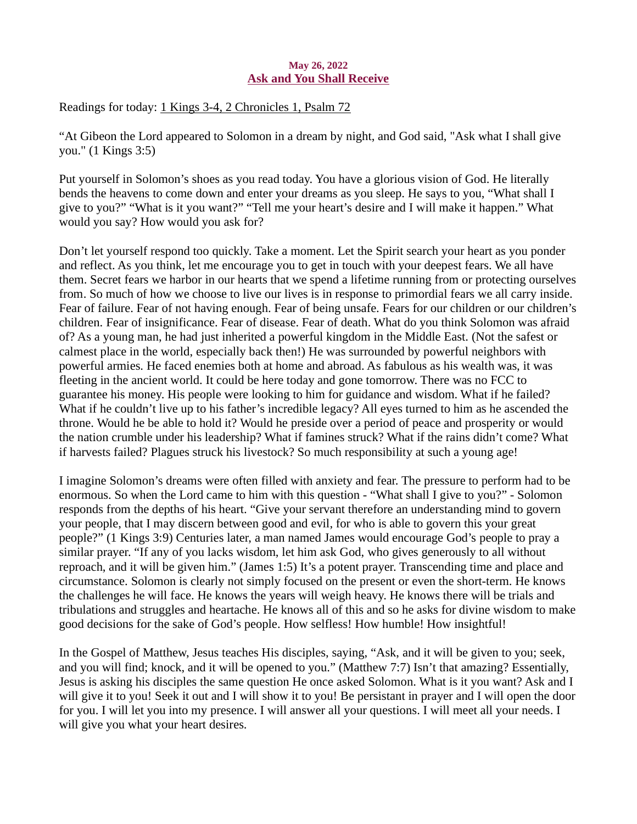## May 26, 2022 Ask and You Shall Receive

<span id="page-31-0"></span>Readings for toda[y: 1 Kings 3-4, 2 Chronicles 1, Psalm 72](https://www.biblegateway.com/passage/?search=1+Kings+3-4%2C+2+Chronicles+1%2C+Psalm+72&version=ESV)

"At Gibeon the Lord appeared to Solomon in a dream by night, and God said, "Ask what I shall give you." (1 Kings 3:5)

Put yourself in Solomon's shoes as you read today. You have a glorious vision of God. He literally bends the heavens to come down and enter your dreams as you sleep. He says to you, "What shall I give to you?" "What is it you want?" "Tell me your heart's desire and I will make it happen." What would you say? How would you ask for?

Don't let yourself respond too quickly. Take a moment. Let the Spirit search your heart as you ponder and reflect. As you think, let me encourage you to get in touch with your deepest fears. We all have them. Secret fears we harbor in our hearts that we spend a lifetime running from or protecting ourselves from. So much of how we choose to live our lives is in response to primordial fears we all carry inside. Fear of failure. Fear of not having enough. Fear of being unsafe. Fears for our children or our children's children. Fear of insignificance. Fear of disease. Fear of death. What do you think Solomon was afraid of? As a young man, he had just inherited a powerful kingdom in the Middle East. (Not the safest or calmest place in the world, especially back then!) He was surrounded by powerful neighbors with powerful armies. He faced enemies both at home and abroad. As fabulous as his wealth was, it was fleeting in the ancient world. It could be here today and gone tomorrow. There was no FCC to guarantee his money. His people were looking to him for guidance and wisdom. What if he failed? What if he couldn't live up to his father's incredible legacy? All eyes turned to him as he ascended the throne. Would he be able to hold it? Would he preside over a period of peace and prosperity or would the nation crumble under his leadership? What if famines struck? What if the rains didn't come? What if harvests failed? Plagues struck his livestock? So much responsibility at such a young age!

I imagine Solomon's dreams were often filled with anxiety and fear. The pressure to perform had to be enormous. So when the Lord came to him with this question - "What shall I give to you?" - Solomon responds from the depths of his heart. "Give your servant therefore an understanding mind to govern your people, that I may discern between good and evil, for who is able to govern this your great people?" (1 Kings 3:9) Centuries later, a man named James would encourage God's people to pray a similar prayer. "If any of you lacks wisdom, let him ask God, who gives generously to all without reproach, and it will be given him." (James 1:5) It's a potent prayer. Transcending time and place and circumstance. Solomon is clearly not simply focused on the present or even the short-term. He knows the challenges he will face. He knows the years will weigh heavy. He knows there will be trials and tribulations and struggles and heartache. He knows all of this and so he asks for divine wisdom to make good decisions for the sake of God's people. How selfless! How humble! How insightful!

In the Gospel of Matthew, Jesus teaches His disciples, saying, "Ask, and it will be given to you; seek, and you will find; knock, and it will be opened to you." (Matthew 7:7) Isn't that amazing? Essentially, Jesus is asking his disciples the same question He once asked Solomon. What is it you want? Ask and I will give it to you! Seek it out and I will show it to you! Be persistant in prayer and I will open the door for you. I will let you into my presence. I will answer all your questions. I will meet all your needs. I will give you what your heart desires.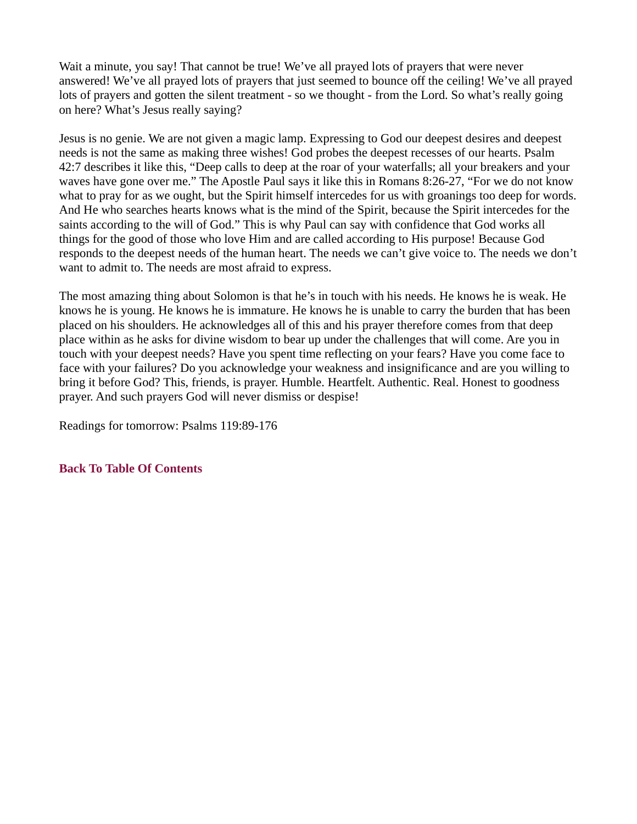Wait a minute, you say! That cannot be true! We've all prayed lots of prayers that were never answered! We've all prayed lots of prayers that just seemed to bounce off the ceiling! We've all prayed lots of prayers and gotten the silent treatment - so we thought - from the Lord. So what's really going on here? What's Jesus really saying?

Jesus is no genie. We are not given a magic lamp. Expressing to God our deepest desires and deepest needs is not the same as making three wishes! God probes the deepest recesses of our hearts. Psalm 42:7 describes it like this, "Deep calls to deep at the roar of your waterfalls; all your breakers and your waves have gone over me." The Apostle Paul says it like this in Romans 8:26-27, "For we do not know what to pray for as we ought, but the Spirit himself intercedes for us with groanings too deep for words. And He who searches hearts knows what is the mind of the Spirit, because the Spirit intercedes for the saints according to the will of God." This is why Paul can say with confidence that God works all things for the good of those who love Him and are called according to His purpose! Because God responds to the deepest needs of the human heart. The needs we can't give voice to. The needs we don't want to admit to. The needs are most afraid to express.

The most amazing thing about Solomon is that he's in touch with his needs. He knows he is weak. He knows he is young. He knows he is immature. He knows he is unable to carry the burden that has been placed on his shoulders. He acknowledges all of this and his prayer therefore comes from that deep place within as he asks for divine wisdom to bear up under the challenges that will come. Are you in touch with your deepest needs? Have you spent time reflecting on your fears? Have you come face to face with your failures? Do you acknowledge your weakness and insignificance and are you willing to bring it before God? This, friends, is prayer. Humble. Heartfelt. Authentic. Real. Honest to goodness prayer. And such prayers God will never dismiss or despise!

Readings for tomorrow: Psalms 119:89-176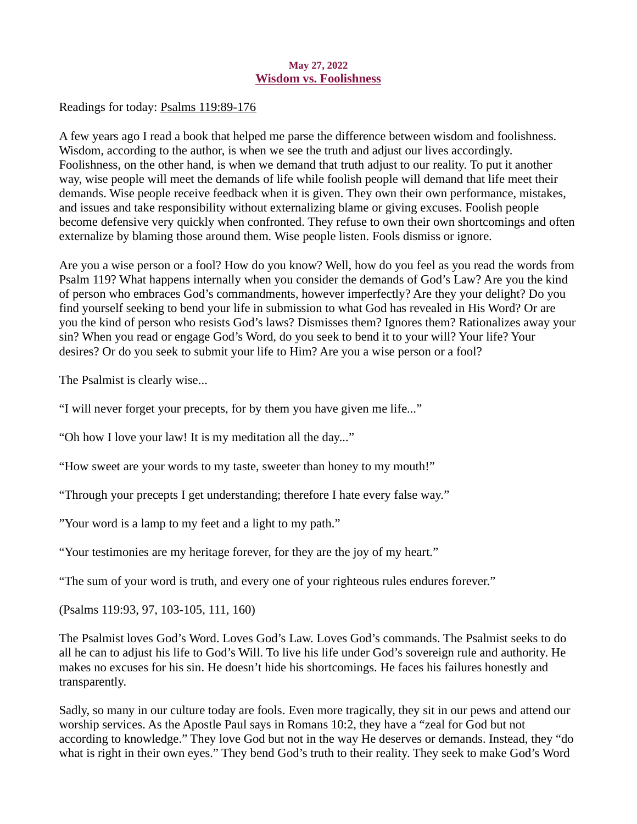#### May 27, 2022 Wisdom vs. Foolishness

<span id="page-33-0"></span>Readings for today[: Psalms 119:89-176](https://www.biblegateway.com/passage/?search=Psalms+119%3A+89-176&version=ESV)

A few years ago I read a book that helped me parse the difference between wisdom and foolishness. Wisdom, according to the author, is when we see the truth and adjust our lives accordingly. Foolishness, on the other hand, is when we demand that truth adjust to our reality. To put it another way, wise people will meet the demands of life while foolish people will demand that life meet their demands. Wise people receive feedback when it is given. They own their own performance, mistakes, and issues and take responsibility without externalizing blame or giving excuses. Foolish people become defensive very quickly when confronted. They refuse to own their own shortcomings and often externalize by blaming those around them. Wise people listen. Fools dismiss or ignore.

Are you a wise person or a fool? How do you know? Well, how do you feel as you read the words from Psalm 119? What happens internally when you consider the demands of God's Law? Are you the kind of person who embraces God's commandments, however imperfectly? Are they your delight? Do you find yourself seeking to bend your life in submission to what God has revealed in His Word? Or are you the kind of person who resists God's laws? Dismisses them? Ignores them? Rationalizes away your sin? When you read or engage God's Word, do you seek to bend it to your will? Your life? Your desires? Or do you seek to submit your life to Him? Are you a wise person or a fool?

The Psalmist is clearly wise...

"I will never forget your precepts, for by them you have given me life..."

"Oh how I love your law! It is my meditation all the day..."

"How sweet are your words to my taste, sweeter than honey to my mouth!"

"Through your precepts I get understanding; therefore I hate every false way."

"Your word is a lamp to my feet and a light to my path."

"Your testimonies are my heritage forever, for they are the joy of my heart."

"The sum of your word is truth, and every one of your righteous rules endures forever."

(Psalms 119:93, 97, 103-105, 111, 160)

The Psalmist loves God's Word. Loves God's Law. Loves God's commands. The Psalmist seeks to do all he can to adjust his life to God's Will. To live his life under God's sovereign rule and authority. He makes no excuses for his sin. He doesn't hide his shortcomings. He faces his failures honestly and transparently.

Sadly, so many in our culture today are fools. Even more tragically, they sit in our pews and attend our worship services. As the Apostle Paul says in Romans 10:2, they have a "zeal for God but not according to knowledge." They love God but not in the way He deserves or demands. Instead, they "do what is right in their own eyes." They bend God's truth to their reality. They seek to make God's Word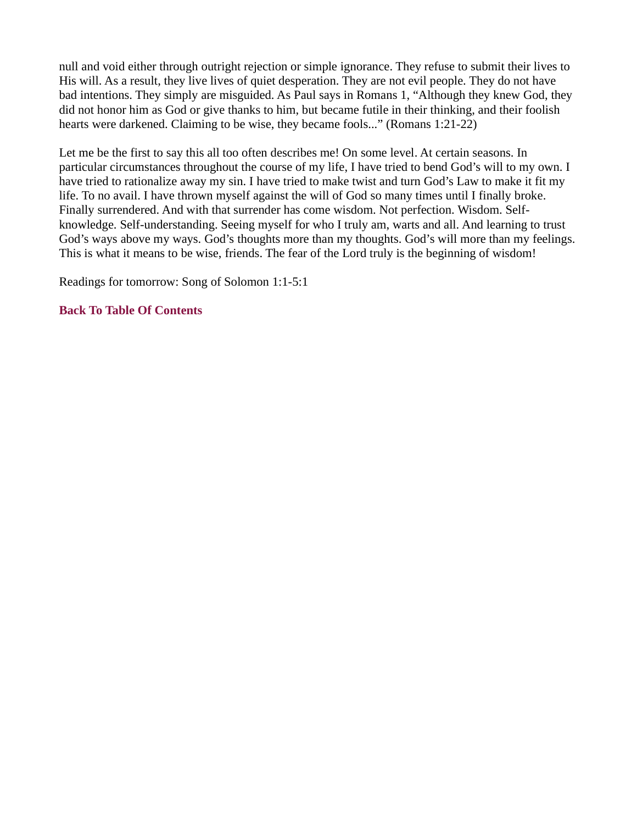null and void either through outright rejection or simple ignorance. They refuse to submit their lives to His will. As a result, they live lives of quiet desperation. They are not evil people. They do not have bad intentions. They simply are misguided. As Paul says in Romans 1, "Although they knew God, they did not honor him as God or give thanks to him, but became futile in their thinking, and their foolish hearts were darkened. Claiming to be wise, they became fools..." (Romans 1:21-22)

Let me be the first to say this all too often describes me! On some level. At certain seasons. In particular circumstances throughout the course of my life, I have tried to bend God's will to my own. I have tried to rationalize away my sin. I have tried to make twist and turn God's Law to make it fit my life. To no avail. I have thrown myself against the will of God so many times until I finally broke. Finally surrendered. And with that surrender has come wisdom. Not perfection. Wisdom. Selfknowledge. Self-understanding. Seeing myself for who I truly am, warts and all. And learning to trust God's ways above my ways. God's thoughts more than my thoughts. God's will more than my feelings. This is what it means to be wise, friends. The fear of the Lord truly is the beginning of wisdom!

Readings for tomorrow: Song of Solomon 1:1-5:1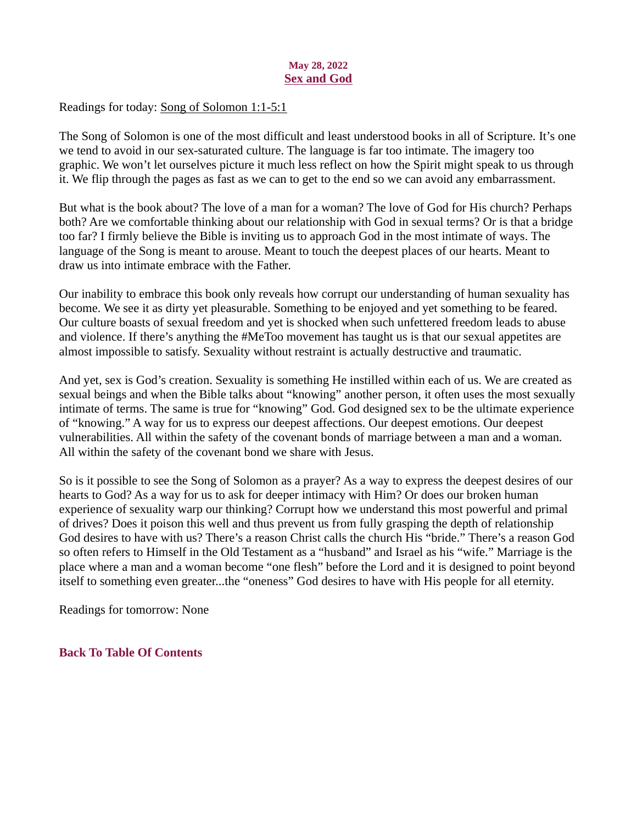## May 28, 2022 Sex and God

## <span id="page-35-0"></span>Readings for today: [Song of Solomon 1:1-5:1](https://www.biblegateway.com/passage/?search=Song+of+Solomon+1%3A1-5%3A1&version=ESV)

The Song of Solomon is one of the most difficult and least understood books in all of Scripture. It's one we tend to avoid in our sex-saturated culture. The language is far too intimate. The imagery too graphic. We won't let ourselves picture it much less reflect on how the Spirit might speak to us through it. We flip through the pages as fast as we can to get to the end so we can avoid any embarrassment.

But what is the book about? The love of a man for a woman? The love of God for His church? Perhaps both? Are we comfortable thinking about our relationship with God in sexual terms? Or is that a bridge too far? I firmly believe the Bible is inviting us to approach God in the most intimate of ways. The language of the Song is meant to arouse. Meant to touch the deepest places of our hearts. Meant to draw us into intimate embrace with the Father.

Our inability to embrace this book only reveals how corrupt our understanding of human sexuality has become. We see it as dirty yet pleasurable. Something to be enjoyed and yet something to be feared. Our culture boasts of sexual freedom and yet is shocked when such unfettered freedom leads to abuse and violence. If there's anything the #MeToo movement has taught us is that our sexual appetites are almost impossible to satisfy. Sexuality without restraint is actually destructive and traumatic.

And yet, sex is God's creation. Sexuality is something He instilled within each of us. We are created as sexual beings and when the Bible talks about "knowing" another person, it often uses the most sexually intimate of terms. The same is true for "knowing" God. God designed sex to be the ultimate experience of "knowing." A way for us to express our deepest affections. Our deepest emotions. Our deepest vulnerabilities. All within the safety of the covenant bonds of marriage between a man and a woman. All within the safety of the covenant bond we share with Jesus.

So is it possible to see the Song of Solomon as a prayer? As a way to express the deepest desires of our hearts to God? As a way for us to ask for deeper intimacy with Him? Or does our broken human experience of sexuality warp our thinking? Corrupt how we understand this most powerful and primal of drives? Does it poison this well and thus prevent us from fully grasping the depth of relationship God desires to have with us? There's a reason Christ calls the church His "bride." There's a reason God so often refers to Himself in the Old Testament as a "husband" and Israel as his "wife." Marriage is the place where a man and a woman become "one flesh" before the Lord and it is designed to point beyond itself to something even greater...the "oneness" God desires to have with His people for all eternity.

Readings for tomorrow: None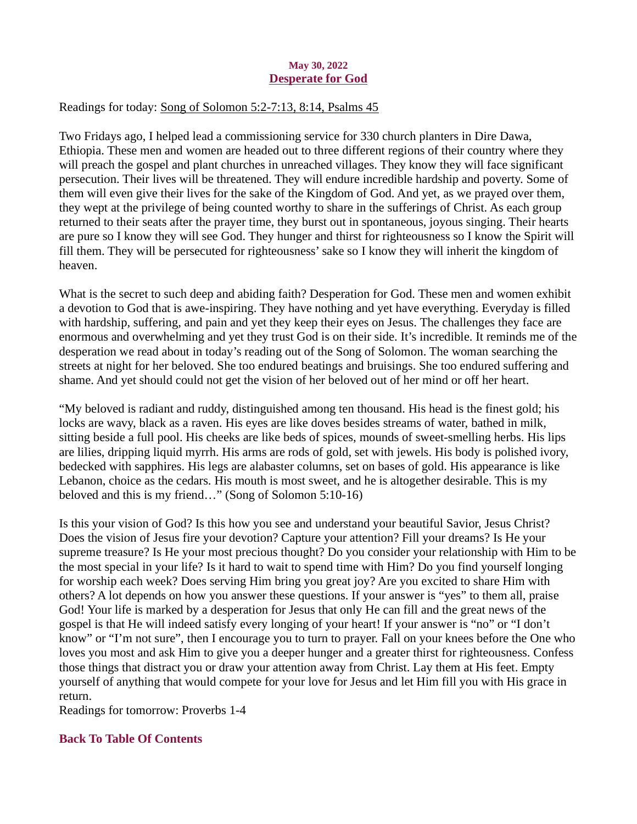### May 30, 2022 Desperate for God

# <span id="page-36-0"></span>Readings for today[: Song of Solomon 5:2-7:13, 8:14, Psalms 45](https://www.biblegateway.com/passage/?search=Song+of+Solomon+5%3A2-7%3A13%2C+8%3A14%2C+Psalms+45&version=ESV)

Two Fridays ago, I helped lead a commissioning service for 330 church planters in Dire Dawa, Ethiopia. These men and women are headed out to three different regions of their country where they will preach the gospel and plant churches in unreached villages. They know they will face significant persecution. Their lives will be threatened. They will endure incredible hardship and poverty. Some of them will even give their lives for the sake of the Kingdom of God. And yet, as we prayed over them, they wept at the privilege of being counted worthy to share in the sufferings of Christ. As each group returned to their seats after the prayer time, they burst out in spontaneous, joyous singing. Their hearts are pure so I know they will see God. They hunger and thirst for righteousness so I know the Spirit will fill them. They will be persecuted for righteousness' sake so I know they will inherit the kingdom of heaven.

What is the secret to such deep and abiding faith? Desperation for God. These men and women exhibit a devotion to God that is awe-inspiring. They have nothing and yet have everything. Everyday is filled with hardship, suffering, and pain and yet they keep their eyes on Jesus. The challenges they face are enormous and overwhelming and yet they trust God is on their side. It's incredible. It reminds me of the desperation we read about in today's reading out of the Song of Solomon. The woman searching the streets at night for her beloved. She too endured beatings and bruisings. She too endured suffering and shame. And yet should could not get the vision of her beloved out of her mind or off her heart.

"My beloved is radiant and ruddy, distinguished among ten thousand. His head is the finest gold; his locks are wavy, black as a raven. His eyes are like doves besides streams of water, bathed in milk, sitting beside a full pool. His cheeks are like beds of spices, mounds of sweet-smelling herbs. His lips are lilies, dripping liquid myrrh. His arms are rods of gold, set with jewels. His body is polished ivory, bedecked with sapphires. His legs are alabaster columns, set on bases of gold. His appearance is like Lebanon, choice as the cedars. His mouth is most sweet, and he is altogether desirable. This is my beloved and this is my friend…" (Song of Solomon 5:10-16)

Is this your vision of God? Is this how you see and understand your beautiful Savior, Jesus Christ? Does the vision of Jesus fire your devotion? Capture your attention? Fill your dreams? Is He your supreme treasure? Is He your most precious thought? Do you consider your relationship with Him to be the most special in your life? Is it hard to wait to spend time with Him? Do you find yourself longing for worship each week? Does serving Him bring you great joy? Are you excited to share Him with others? A lot depends on how you answer these questions. If your answer is "yes" to them all, praise God! Your life is marked by a desperation for Jesus that only He can fill and the great news of the gospel is that He will indeed satisfy every longing of your heart! If your answer is "no" or "I don't know" or "I'm not sure", then I encourage you to turn to prayer. Fall on your knees before the One who loves you most and ask Him to give you a deeper hunger and a greater thirst for righteousness. Confess those things that distract you or draw your attention away from Christ. Lay them at His feet. Empty yourself of anything that would compete for your love for Jesus and let Him fill you with His grace in return.

Readings for tomorrow: Proverbs 1-4